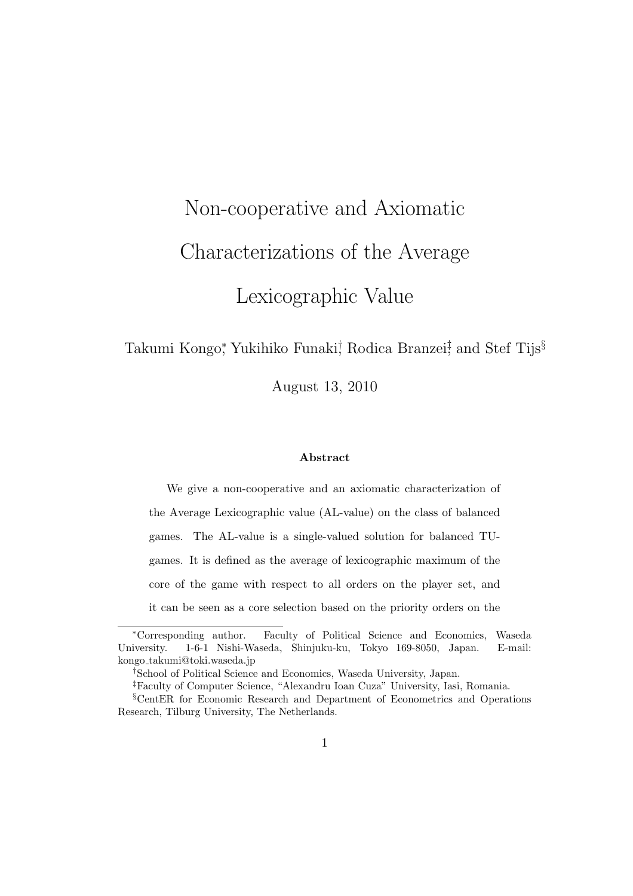# Non-cooperative and Axiomatic Characterizations of the Average Lexicographic Value

#### Takumi Kongo*<sup>∗</sup>* , Yukihiko Funaki*†* , Rodica Branzei*‡* , and Stef Tijs*§*

August 13, 2010

#### **Abstract**

We give a non-cooperative and an axiomatic characterization of the Average Lexicographic value (AL-value) on the class of balanced games. The AL-value is a single-valued solution for balanced TUgames. It is defined as the average of lexicographic maximum of the core of the game with respect to all orders on the player set, and it can be seen as a core selection based on the priority orders on the

*<sup>∗</sup>*Corresponding author. Faculty of Political Science and Economics, Waseda University. 1-6-1 Nishi-Waseda, Shinjuku-ku, Tokyo 169-8050, Japan. E-mail: kongo takumi@toki.waseda.jp

*<sup>†</sup>*School of Political Science and Economics, Waseda University, Japan.

*<sup>‡</sup>*Faculty of Computer Science, "Alexandru Ioan Cuza" University, Iasi, Romania.

*<sup>§</sup>*CentER for Economic Research and Department of Econometrics and Operations Research, Tilburg University, The Netherlands.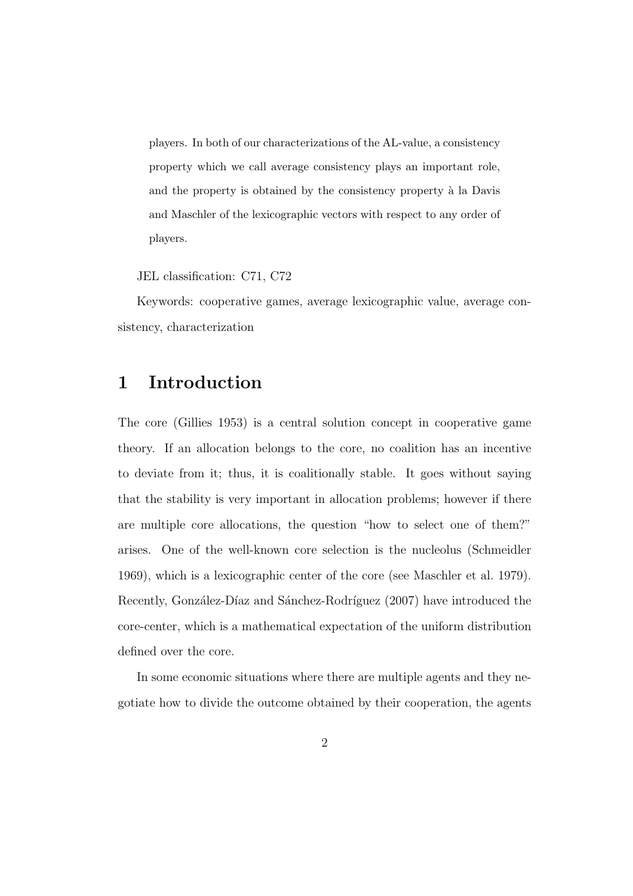players. In both of our characterizations of the AL-value, a consistency property which we call average consistency plays an important role, and the property is obtained by the consistency property à la Davis and Maschler of the lexicographic vectors with respect to any order of players.

JEL classification: C71, C72

Keywords: cooperative games, average lexicographic value, average consistency, characterization

#### **1 Introduction**

The core (Gillies 1953) is a central solution concept in cooperative game theory. If an allocation belongs to the core, no coalition has an incentive to deviate from it; thus, it is coalitionally stable. It goes without saying that the stability is very important in allocation problems; however if there are multiple core allocations, the question "how to select one of them?" arises. One of the well-known core selection is the nucleolus (Schmeidler 1969), which is a lexicographic center of the core (see Maschler et al. 1979). Recently, González-Díaz and Sánchez-Rodríguez (2007) have introduced the core-center, which is a mathematical expectation of the uniform distribution defined over the core.

In some economic situations where there are multiple agents and they negotiate how to divide the outcome obtained by their cooperation, the agents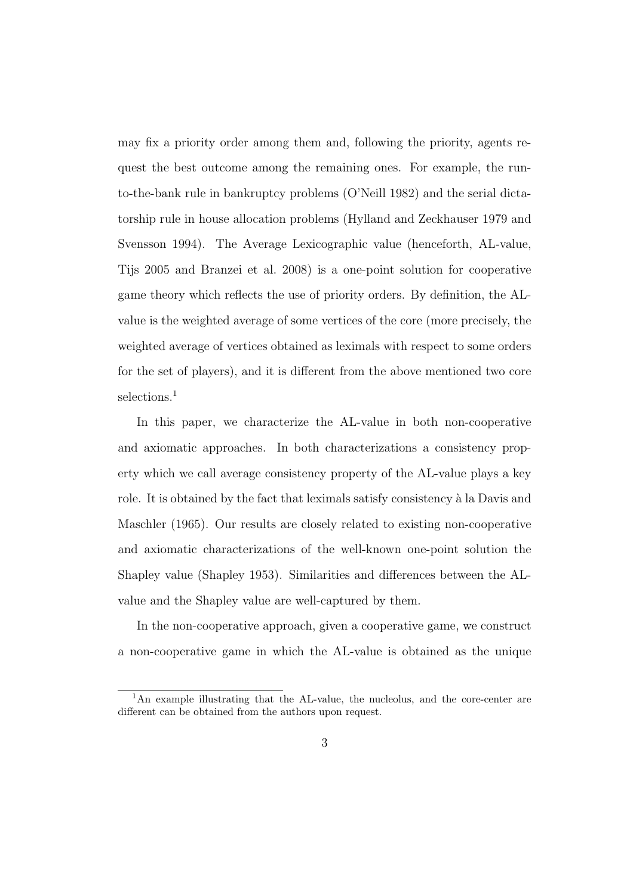may fix a priority order among them and, following the priority, agents request the best outcome among the remaining ones. For example, the runto-the-bank rule in bankruptcy problems (O'Neill 1982) and the serial dictatorship rule in house allocation problems (Hylland and Zeckhauser 1979 and Svensson 1994). The Average Lexicographic value (henceforth, AL-value, Tijs 2005 and Branzei et al. 2008) is a one-point solution for cooperative game theory which reflects the use of priority orders. By definition, the ALvalue is the weighted average of some vertices of the core (more precisely, the weighted average of vertices obtained as leximals with respect to some orders for the set of players), and it is different from the above mentioned two core selections.<sup>1</sup>

In this paper, we characterize the AL-value in both non-cooperative and axiomatic approaches. In both characterizations a consistency property which we call average consistency property of the AL-value plays a key role. It is obtained by the fact that leximals satisfy consistency à la Davis and Maschler (1965). Our results are closely related to existing non-cooperative and axiomatic characterizations of the well-known one-point solution the Shapley value (Shapley 1953). Similarities and differences between the ALvalue and the Shapley value are well-captured by them.

In the non-cooperative approach, given a cooperative game, we construct a non-cooperative game in which the AL-value is obtained as the unique

<sup>&</sup>lt;sup>1</sup>An example illustrating that the AL-value, the nucleolus, and the core-center are different can be obtained from the authors upon request.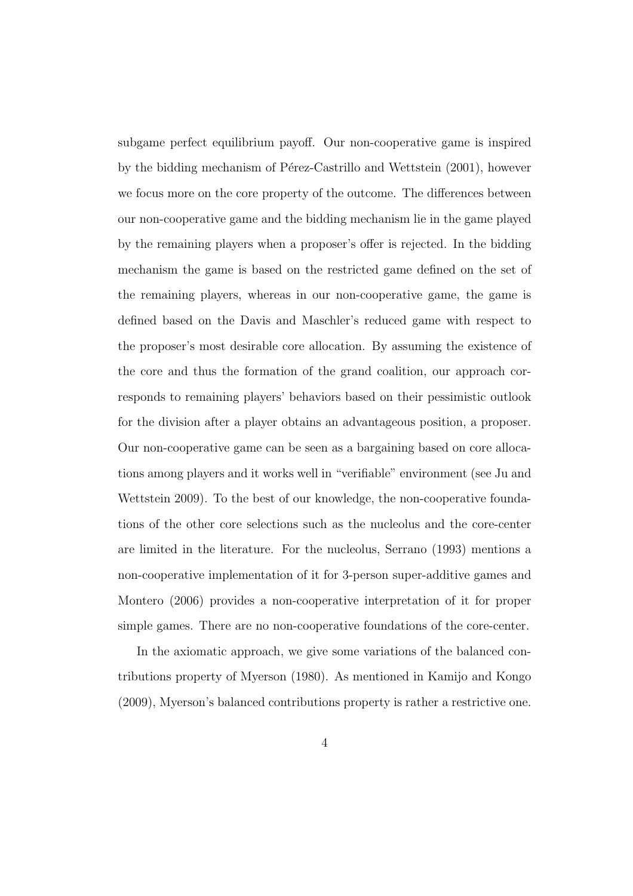subgame perfect equilibrium payoff. Our non-cooperative game is inspired by the bidding mechanism of Pérez-Castrillo and Wettstein (2001), however we focus more on the core property of the outcome. The differences between our non-cooperative game and the bidding mechanism lie in the game played by the remaining players when a proposer's offer is rejected. In the bidding mechanism the game is based on the restricted game defined on the set of the remaining players, whereas in our non-cooperative game, the game is defined based on the Davis and Maschler's reduced game with respect to the proposer's most desirable core allocation. By assuming the existence of the core and thus the formation of the grand coalition, our approach corresponds to remaining players' behaviors based on their pessimistic outlook for the division after a player obtains an advantageous position, a proposer. Our non-cooperative game can be seen as a bargaining based on core allocations among players and it works well in "verifiable" environment (see Ju and Wettstein 2009). To the best of our knowledge, the non-cooperative foundations of the other core selections such as the nucleolus and the core-center are limited in the literature. For the nucleolus, Serrano (1993) mentions a non-cooperative implementation of it for 3-person super-additive games and Montero (2006) provides a non-cooperative interpretation of it for proper simple games. There are no non-cooperative foundations of the core-center.

In the axiomatic approach, we give some variations of the balanced contributions property of Myerson (1980). As mentioned in Kamijo and Kongo (2009), Myerson's balanced contributions property is rather a restrictive one.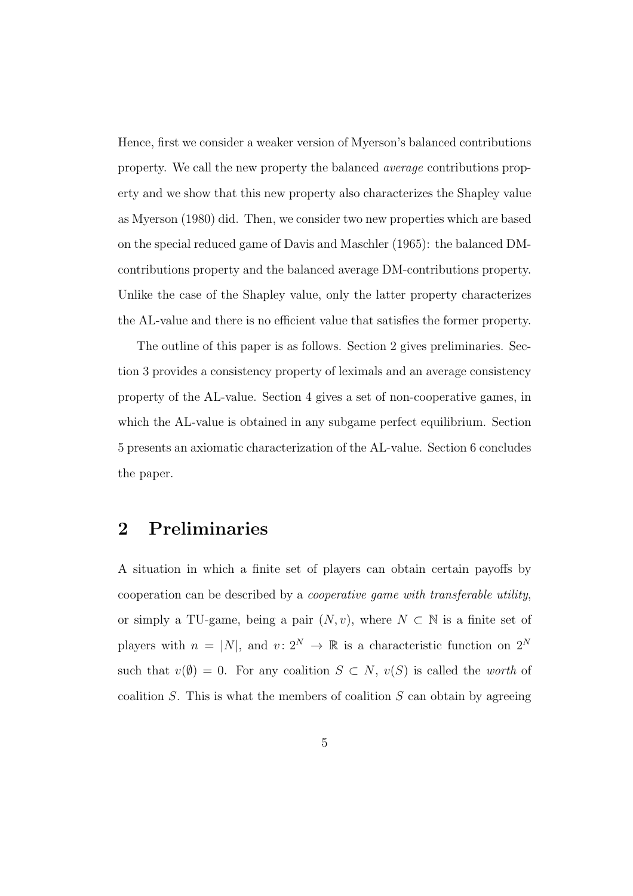Hence, first we consider a weaker version of Myerson's balanced contributions property. We call the new property the balanced *average* contributions property and we show that this new property also characterizes the Shapley value as Myerson (1980) did. Then, we consider two new properties which are based on the special reduced game of Davis and Maschler (1965): the balanced DMcontributions property and the balanced average DM-contributions property. Unlike the case of the Shapley value, only the latter property characterizes the AL-value and there is no efficient value that satisfies the former property.

The outline of this paper is as follows. Section 2 gives preliminaries. Section 3 provides a consistency property of leximals and an average consistency property of the AL-value. Section 4 gives a set of non-cooperative games, in which the AL-value is obtained in any subgame perfect equilibrium. Section 5 presents an axiomatic characterization of the AL-value. Section 6 concludes the paper.

#### **2 Preliminaries**

A situation in which a finite set of players can obtain certain payoffs by cooperation can be described by a *cooperative game with transferable utility*, or simply a TU-game, being a pair  $(N, v)$ , where  $N \subset \mathbb{N}$  is a finite set of players with  $n = |N|$ , and  $v: 2^N \to \mathbb{R}$  is a characteristic function on  $2^N$ such that  $v(\emptyset) = 0$ . For any coalition  $S \subset N$ ,  $v(S)$  is called the *worth* of coalition *S*. This is what the members of coalition *S* can obtain by agreeing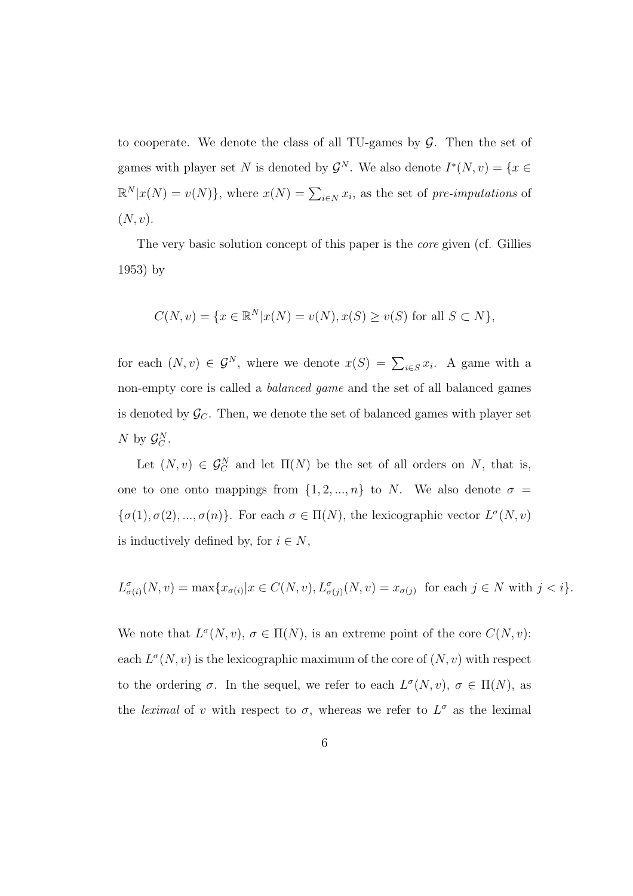to cooperate. We denote the class of all TU-games by *G*. Then the set of games with player set *N* is denoted by  $\mathcal{G}^N$ . We also denote  $I^*(N, v) = \{x \in$  $\mathbb{R}^N | x(N) = v(N) \}$ , where  $x(N) = \sum_{i \in N} x_i$ , as the set of *pre-imputations* of (*N, v*).

The very basic solution concept of this paper is the *core* given (cf. Gillies 1953) by

$$
C(N, v) = \{x \in \mathbb{R}^N | x(N) = v(N), x(S) \ge v(S) \text{ for all } S \subset N \},\
$$

for each  $(N, v) \in \mathcal{G}^N$ , where we denote  $x(S) = \sum_{i \in S} x_i$ . A game with a non-empty core is called a *balanced game* and the set of all balanced games is denoted by  $\mathcal{G}_C$ . Then, we denote the set of balanced games with player set *N* by  $\mathcal{G}_C^N$ .

Let  $(N, v) \in \mathcal{G}_C^N$  and let  $\Pi(N)$  be the set of all orders on *N*, that is, one to one onto mappings from  $\{1, 2, ..., n\}$  to *N*. We also denote  $\sigma =$  $\{\sigma(1), \sigma(2), ..., \sigma(n)\}.$  For each  $\sigma \in \Pi(N)$ , the lexicographic vector  $L^{\sigma}(N, v)$ is inductively defined by, for  $i \in N$ ,

$$
L^{\sigma}_{\sigma(i)}(N,v) = \max\{x_{\sigma(i)}|x \in C(N,v), L^{\sigma}_{\sigma(j)}(N,v) = x_{\sigma(j)} \text{ for each } j \in N \text{ with } j < i\}.
$$

We note that  $L^{\sigma}(N, v)$ ,  $\sigma \in \Pi(N)$ , is an extreme point of the core  $C(N, v)$ : each  $L^{\sigma}(N, v)$  is the lexicographic maximum of the core of  $(N, v)$  with respect to the ordering  $\sigma$ . In the sequel, we refer to each  $L^{\sigma}(N, v)$ ,  $\sigma \in \Pi(N)$ , as the *leximal* of *v* with respect to  $\sigma$ , whereas we refer to  $L^{\sigma}$  as the leximal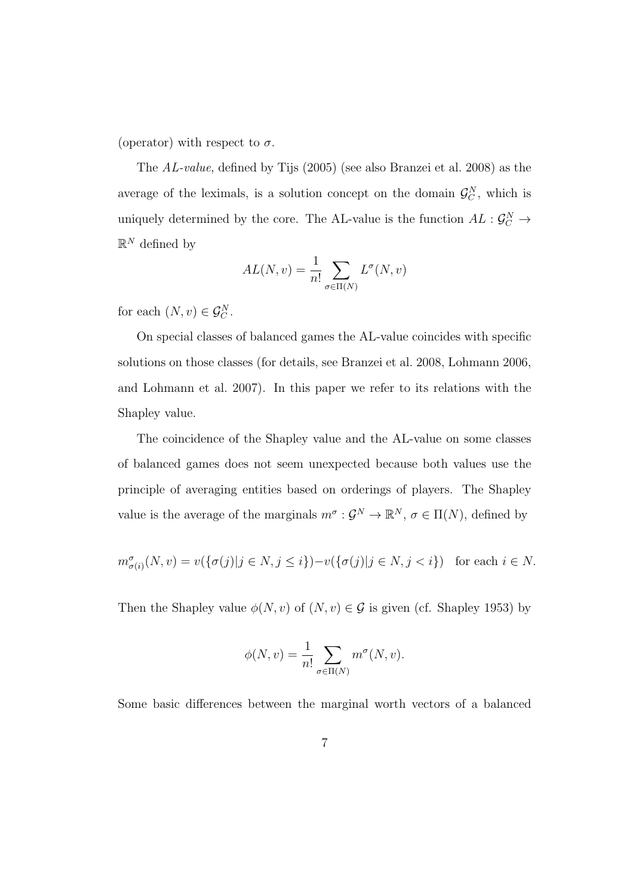(operator) with respect to  $\sigma$ .

The *AL-value*, defined by Tijs (2005) (see also Branzei et al. 2008) as the average of the leximals, is a solution concept on the domain  $\mathcal{G}_C^N$ , which is uniquely determined by the core. The AL-value is the function  $AL: \mathcal{G}_C^N \to$  $\mathbb{R}^N$  defined by

$$
AL(N, v) = \frac{1}{n!} \sum_{\sigma \in \Pi(N)} L^{\sigma}(N, v)
$$

for each  $(N, v) \in \mathcal{G}_C^N$ .

On special classes of balanced games the AL-value coincides with specific solutions on those classes (for details, see Branzei et al. 2008, Lohmann 2006, and Lohmann et al. 2007). In this paper we refer to its relations with the Shapley value.

The coincidence of the Shapley value and the AL-value on some classes of balanced games does not seem unexpected because both values use the principle of averaging entities based on orderings of players. The Shapley value is the average of the marginals  $m^{\sigma}$ :  $\mathcal{G}^N \to \mathbb{R}^N$ ,  $\sigma \in \Pi(N)$ , defined by

$$
m^{\sigma}_{\sigma(i)}(N,v) = v(\{\sigma(j)|j \in N, j \leq i\}) - v(\{\sigma(j)|j \in N, j < i\}) \text{ for each } i \in N.
$$

Then the Shapley value  $\phi(N, v)$  of  $(N, v) \in \mathcal{G}$  is given (cf. Shapley 1953) by

$$
\phi(N, v) = \frac{1}{n!} \sum_{\sigma \in \Pi(N)} m^{\sigma}(N, v).
$$

Some basic differences between the marginal worth vectors of a balanced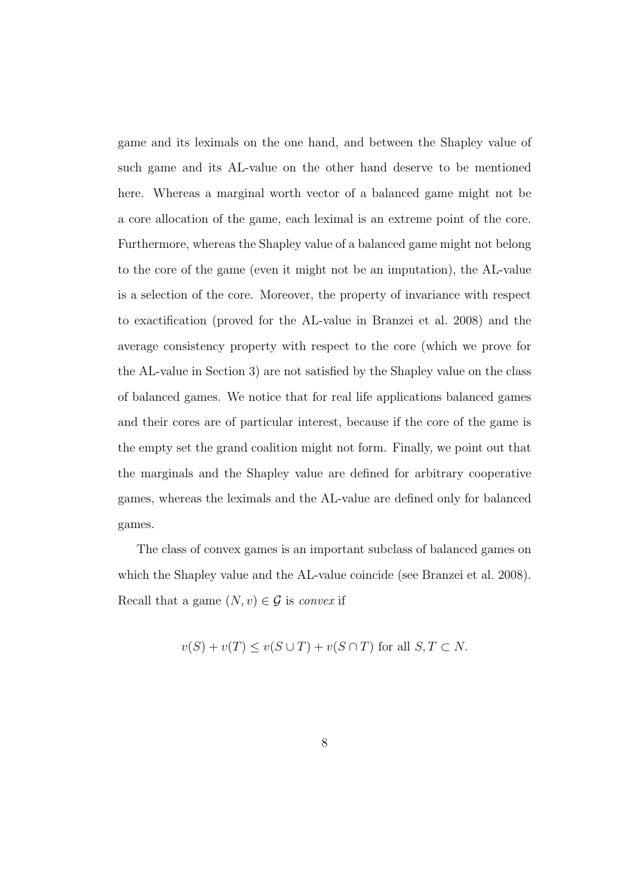game and its leximals on the one hand, and between the Shapley value of such game and its AL-value on the other hand deserve to be mentioned here. Whereas a marginal worth vector of a balanced game might not be a core allocation of the game, each leximal is an extreme point of the core. Furthermore, whereas the Shapley value of a balanced game might not belong to the core of the game (even it might not be an imputation), the AL-value is a selection of the core. Moreover, the property of invariance with respect to exactification (proved for the AL-value in Branzei et al. 2008) and the average consistency property with respect to the core (which we prove for the AL-value in Section 3) are not satisfied by the Shapley value on the class of balanced games. We notice that for real life applications balanced games and their cores are of particular interest, because if the core of the game is the empty set the grand coalition might not form. Finally, we point out that the marginals and the Shapley value are defined for arbitrary cooperative games, whereas the leximals and the AL-value are defined only for balanced games.

The class of convex games is an important subclass of balanced games on which the Shapley value and the AL-value coincide (see Branzei et al. 2008). Recall that a game  $(N, v) \in \mathcal{G}$  is *convex* if

$$
v(S) + v(T) \le v(S \cup T) + v(S \cap T)
$$
 for all  $S, T \subset N$ .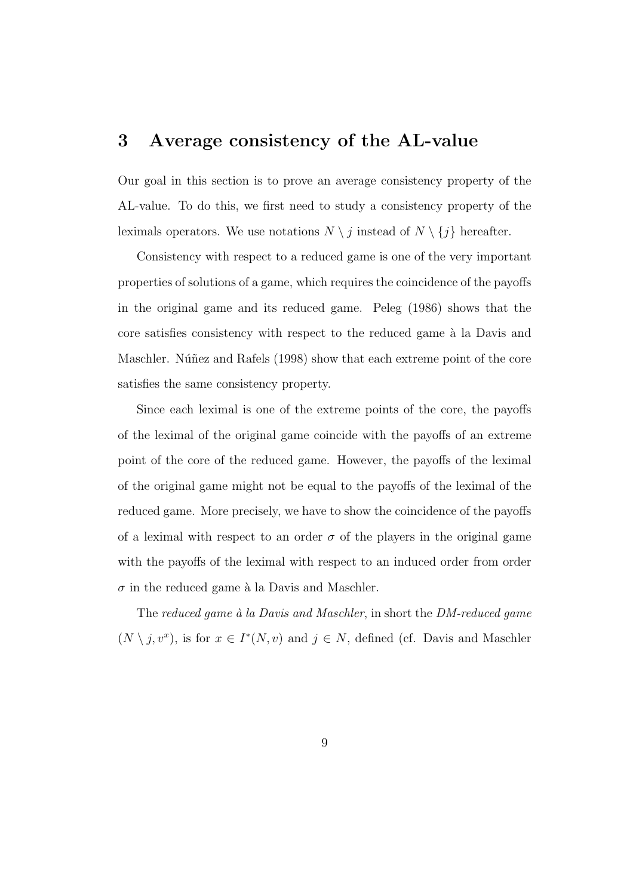#### **3 Average consistency of the AL-value**

Our goal in this section is to prove an average consistency property of the AL-value. To do this, we first need to study a consistency property of the leximals operators. We use notations  $N \setminus j$  instead of  $N \setminus \{j\}$  hereafter.

Consistency with respect to a reduced game is one of the very important properties of solutions of a game, which requires the coincidence of the payoffs in the original game and its reduced game. Peleg (1986) shows that the core satisfies consistency with respect to the reduced game  $\hat{a}$  la Davis and Maschler. Núñez and Rafels (1998) show that each extreme point of the core satisfies the same consistency property.

Since each leximal is one of the extreme points of the core, the payoffs of the leximal of the original game coincide with the payoffs of an extreme point of the core of the reduced game. However, the payoffs of the leximal of the original game might not be equal to the payoffs of the leximal of the reduced game. More precisely, we have to show the coincidence of the payoffs of a leximal with respect to an order  $\sigma$  of the players in the original game with the payoffs of the leximal with respect to an induced order from order  $\sigma$  in the reduced game à la Davis and Maschler.

The *reduced game `a la Davis and Maschler*, in short the *DM-reduced game*  $(N \setminus j, v^x)$ , is for  $x \in I^*(N, v)$  and  $j \in N$ , defined (cf. Davis and Maschler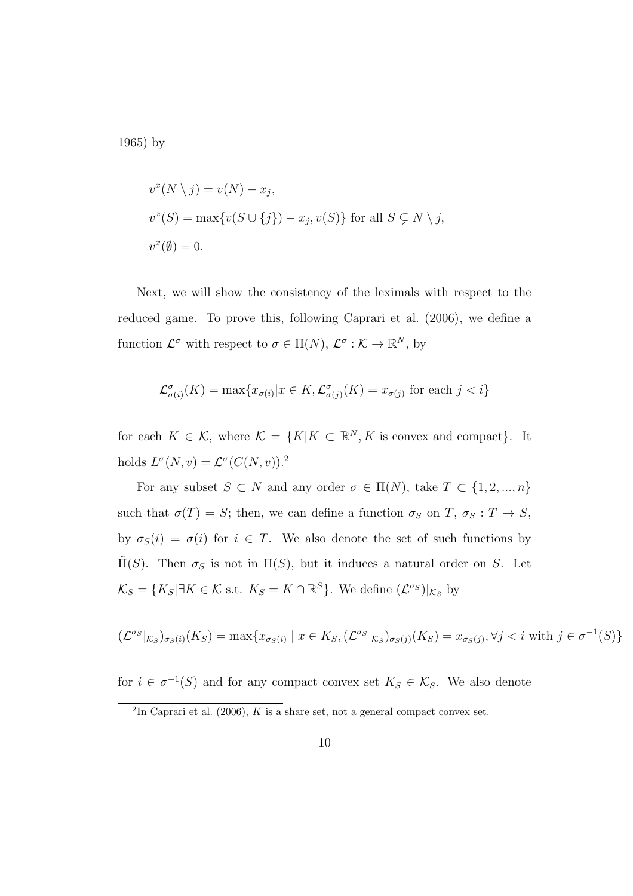1965) by

$$
v^x(N \setminus j) = v(N) - x_j,
$$
  
\n
$$
v^x(S) = \max\{v(S \cup \{j\}) - x_j, v(S)\}\
$$
for all  $S \subsetneq N \setminus j$ ,  
\n
$$
v^x(\emptyset) = 0.
$$

Next, we will show the consistency of the leximals with respect to the reduced game. To prove this, following Caprari et al. (2006), we define a function  $\mathcal{L}^{\sigma}$  with respect to  $\sigma \in \Pi(N)$ ,  $\mathcal{L}^{\sigma} : \mathcal{K} \to \mathbb{R}^{N}$ , by

$$
\mathcal{L}^{\sigma}_{\sigma(i)}(K) = \max\{x_{\sigma(i)} | x \in K, \mathcal{L}^{\sigma}_{\sigma(j)}(K) = x_{\sigma(j)} \text{ for each } j < i\}
$$

for each  $K \in \mathcal{K}$ , where  $\mathcal{K} = \{K | K \subset \mathbb{R}^N, K \text{ is convex and compact}\}.$  It holds  $L^{\sigma}(N, v) = \mathcal{L}^{\sigma}(C(N, v)).^2$ 

For any subset  $S \subset N$  and any order  $\sigma \in \Pi(N)$ , take  $T \subset \{1, 2, ..., n\}$ such that  $\sigma(T) = S$ ; then, we can define a function  $\sigma_S$  on  $T$ ,  $\sigma_S : T \to S$ , by  $\sigma_S(i) = \sigma(i)$  for  $i \in T$ . We also denote the set of such functions by  $\tilde{\Pi}(S)$ . Then  $\sigma_S$  is not in  $\Pi(S)$ , but it induces a natural order on *S*. Let  $\mathcal{K}_S = \{K_S | \exists K \in \mathcal{K} \text{ s.t. } K_S = K \cap \mathbb{R}^S\}$ . We define  $(\mathcal{L}^{\sigma_S})|_{\mathcal{K}_S}$  by

$$
(\mathcal{L}^{\sigma_S}|_{\mathcal{K}_S})_{\sigma_S(i)}(K_S) = \max\{x_{\sigma_S(i)} \mid x \in K_S, (\mathcal{L}^{\sigma_S}|_{\mathcal{K}_S})_{\sigma_S(j)}(K_S) = x_{\sigma_S(j)}, \forall j < i \text{ with } j \in \sigma^{-1}(S)\}
$$

for  $i \in \sigma^{-1}(S)$  and for any compact convex set  $K_S \in \mathcal{K}_S$ . We also denote

 ${}^{2}\text{In}$  Caprari et al. (2006), *K* is a share set, not a general compact convex set.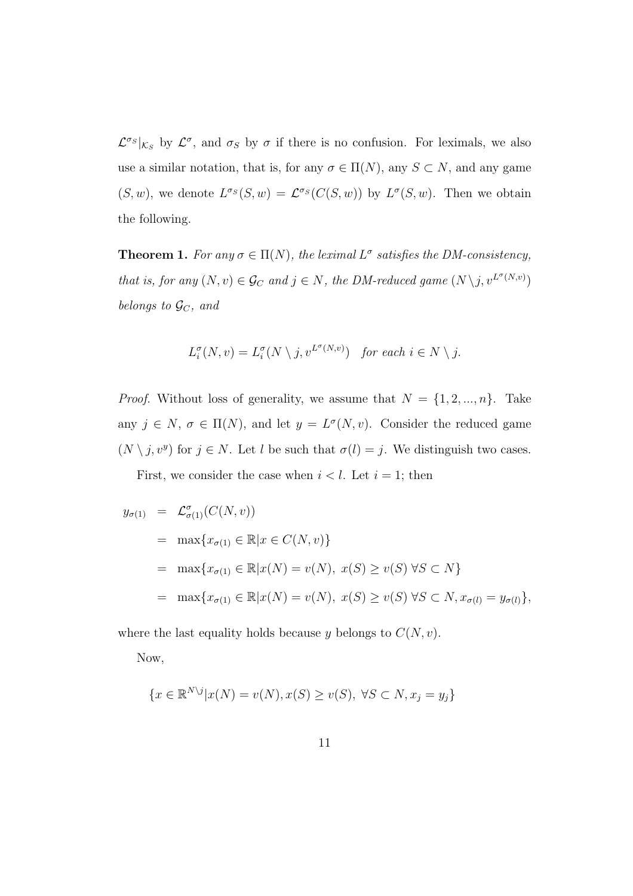$\mathcal{L}^{\sigma_S}|_{\mathcal{K}_S}$  by  $\mathcal{L}^{\sigma}$ , and  $\sigma_S$  by  $\sigma$  if there is no confusion. For leximals, we also use a similar notation, that is, for any  $\sigma \in \Pi(N)$ , any  $S \subset N$ , and any game  $(S, w)$ , we denote  $L^{\sigma_S}(S, w) = \mathcal{L}^{\sigma_S}(C(S, w))$  by  $L^{\sigma}(S, w)$ . Then we obtain the following.

**Theorem 1.** *For any*  $\sigma \in \Pi(N)$ , *the leximal*  $L^{\sigma}$  *satisfies the DM-consistency, that is, for any*  $(N, v) \in \mathcal{G}_C$  *and*  $j \in N$ *, the DM-reduced game*  $(N \setminus j, v^{L^{\sigma}(N,v)})$ *belongs to GC, and*

$$
L_i^{\sigma}(N, v) = L_i^{\sigma}(N \setminus j, v^{L^{\sigma}(N, v)}) \quad \text{for each } i \in N \setminus j.
$$

*Proof.* Without loss of generality, we assume that  $N = \{1, 2, ..., n\}$ . Take any  $j \in N$ ,  $\sigma \in \Pi(N)$ , and let  $y = L^{\sigma}(N, v)$ . Consider the reduced game  $(N \setminus j, v^y)$  for  $j \in N$ . Let *l* be such that  $\sigma(l) = j$ . We distinguish two cases.

First, we consider the case when  $i < l$ . Let  $i = 1$ ; then

$$
y_{\sigma(1)} = \mathcal{L}^{\sigma}_{\sigma(1)}(C(N, v))
$$
  
=  $\max\{x_{\sigma(1)} \in \mathbb{R} | x \in C(N, v)\}$   
=  $\max\{x_{\sigma(1)} \in \mathbb{R} | x(N) = v(N), x(S) \ge v(S) \forall S \subset N\}$   
=  $\max\{x_{\sigma(1)} \in \mathbb{R} | x(N) = v(N), x(S) \ge v(S) \forall S \subset N, x_{\sigma(1)} = y_{\sigma(1)}\},$ 

where the last equality holds because  $y$  belongs to  $C(N, v)$ .

Now,

$$
\{x \in \mathbb{R}^{N \setminus j} | x(N) = v(N), x(S) \ge v(S), \ \forall S \subset N, x_j = y_j \}
$$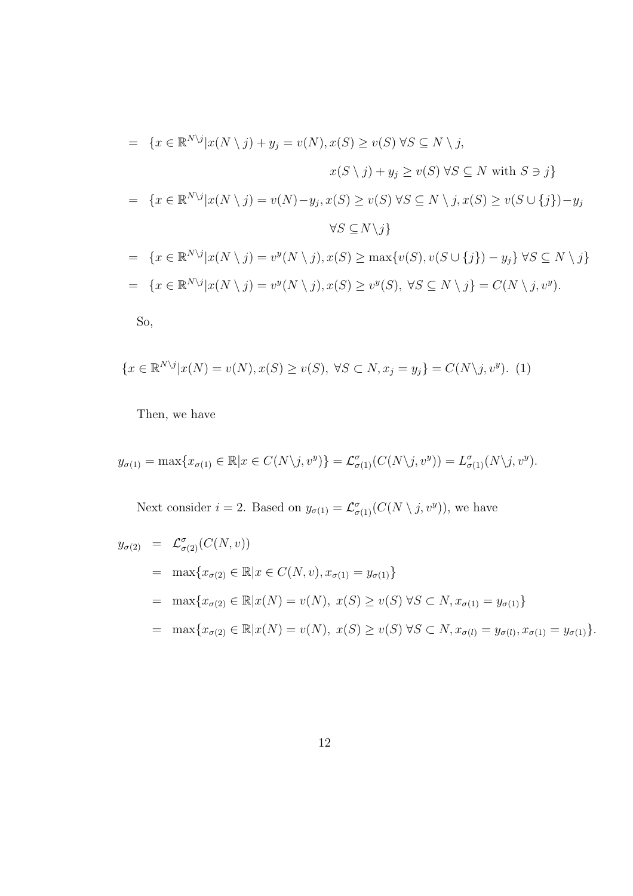$$
= \{x \in \mathbb{R}^{N \setminus j} | x(N \setminus j) + y_j = v(N), x(S) \ge v(S) \forall S \subseteq N \setminus j,
$$
  
\n
$$
x(S \setminus j) + y_j \ge v(S) \forall S \subseteq N \text{ with } S \ni j\}
$$
  
\n
$$
= \{x \in \mathbb{R}^{N \setminus j} | x(N \setminus j) = v(N) - y_j, x(S) \ge v(S) \forall S \subseteq N \setminus j, x(S) \ge v(S \cup \{j\}) - y_j
$$
  
\n
$$
\forall S \subseteq N \setminus j\}
$$
  
\n
$$
= \{x \in \mathbb{R}^{N \setminus j} | x(N \setminus j) = v^y(N \setminus j), x(S) \ge \max\{v(S), v(S \cup \{j\}) - y_j\} \forall S \subseteq N \setminus j\}
$$
  
\n
$$
= \{x \in \mathbb{R}^{N \setminus j} | x(N \setminus j) = v^y(N \setminus j), x(S) \ge v^y(S), \forall S \subseteq N \setminus j\} = C(N \setminus j, v^y).
$$
  
\nSo,

$$
\{x \in \mathbb{R}^{N \setminus j} | x(N) = v(N), x(S) \ge v(S), \ \forall S \subset N, x_j = y_j\} = C(N \setminus j, v^y). \tag{1}
$$

Then, we have

$$
y_{\sigma(1)} = \max\{x_{\sigma(1)} \in \mathbb{R} | x \in C(N \setminus j, v^y)\} = \mathcal{L}_{\sigma(1)}^{\sigma}(C(N \setminus j, v^y)) = L_{\sigma(1)}^{\sigma}(N \setminus j, v^y).
$$

Next consider  $i = 2$ . Based on  $y_{\sigma(1)} = \mathcal{L}^{\sigma}_{\sigma(1)}(C(N \setminus j, v^y))$ , we have

$$
y_{\sigma(2)} = \mathcal{L}^{\sigma}_{\sigma(2)}(C(N, v))
$$
  
\n
$$
= \max\{x_{\sigma(2)} \in \mathbb{R} | x \in C(N, v), x_{\sigma(1)} = y_{\sigma(1)}\}
$$
  
\n
$$
= \max\{x_{\sigma(2)} \in \mathbb{R} | x(N) = v(N), x(S) \ge v(S) \forall S \subset N, x_{\sigma(1)} = y_{\sigma(1)}\}
$$
  
\n
$$
= \max\{x_{\sigma(2)} \in \mathbb{R} | x(N) = v(N), x(S) \ge v(S) \forall S \subset N, x_{\sigma(1)} = y_{\sigma(1)}, x_{\sigma(1)} = y_{\sigma(1)}\}.
$$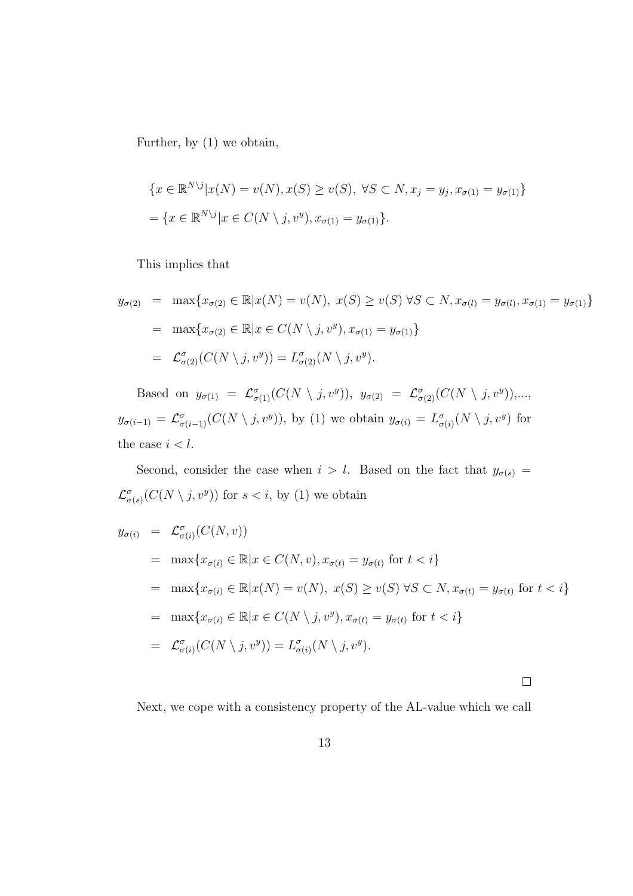Further, by (1) we obtain,

$$
\{x \in \mathbb{R}^{N \setminus j} | x(N) = v(N), x(S) \ge v(S), \forall S \subset N, x_j = y_j, x_{\sigma(1)} = y_{\sigma(1)}\}
$$
  
= 
$$
\{x \in \mathbb{R}^{N \setminus j} | x \in C(N \setminus j, v^y), x_{\sigma(1)} = y_{\sigma(1)}\}.
$$

This implies that

$$
y_{\sigma(2)} = \max\{x_{\sigma(2)} \in \mathbb{R} | x(N) = v(N), \ x(S) \ge v(S) \ \forall S \subset N, x_{\sigma(1)} = y_{\sigma(1)}, x_{\sigma(1)} = y_{\sigma(1)}\}
$$
  
= 
$$
\max\{x_{\sigma(2)} \in \mathbb{R} | x \in C(N \setminus j, v^y), x_{\sigma(1)} = y_{\sigma(1)}\}
$$
  
= 
$$
\mathcal{L}_{\sigma(2)}^{\sigma}(C(N \setminus j, v^y)) = L_{\sigma(2)}^{\sigma}(N \setminus j, v^y).
$$

Based on  $y_{\sigma(1)} = \mathcal{L}^{\sigma}_{\sigma(1)}(C(N \setminus j, v^y)), y_{\sigma(2)} = \mathcal{L}^{\sigma}_{\sigma(2)}(C(N \setminus j, v^y)),...,$  $y_{\sigma(i-1)} = \mathcal{L}^{\sigma}_{\sigma(i-1)}(C(N \setminus j, v^y)),$  by (1) we obtain  $y_{\sigma(i)} = L^{\sigma}_{\sigma(i)}(N \setminus j, v^y)$  for the case  $i < l$ .

Second, consider the case when  $i > l$ . Based on the fact that  $y_{\sigma(s)} =$  $\mathcal{L}^{\sigma}_{\sigma(s)}(C(N \setminus j, v^y))$  for  $s < i$ , by (1) we obtain

$$
y_{\sigma(i)} = \mathcal{L}^{\sigma}_{\sigma(i)}(C(N, v))
$$
  
\n
$$
= \max\{x_{\sigma(i)} \in \mathbb{R} | x \in C(N, v), x_{\sigma(t)} = y_{\sigma(t)} \text{ for } t < i\}
$$
  
\n
$$
= \max\{x_{\sigma(i)} \in \mathbb{R} | x(N) = v(N), x(S) \ge v(S) \forall S \subset N, x_{\sigma(t)} = y_{\sigma(t)} \text{ for } t < i\}
$$
  
\n
$$
= \max\{x_{\sigma(i)} \in \mathbb{R} | x \in C(N \setminus j, v^y), x_{\sigma(t)} = y_{\sigma(t)} \text{ for } t < i\}
$$
  
\n
$$
= \mathcal{L}^{\sigma}_{\sigma(i)}(C(N \setminus j, v^y)) = L^{\sigma}_{\sigma(i)}(N \setminus j, v^y).
$$

 $\Box$ 

Next, we cope with a consistency property of the AL-value which we call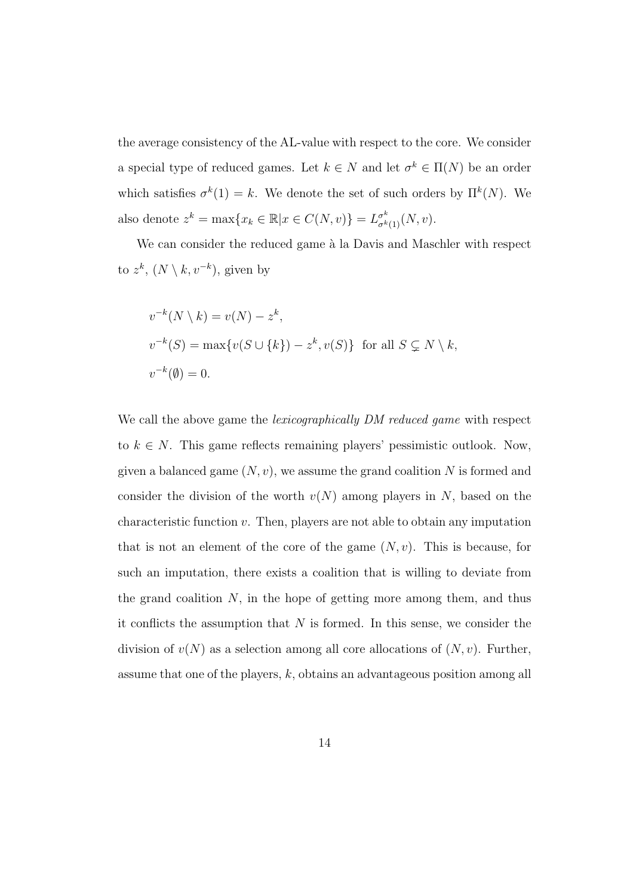the average consistency of the AL-value with respect to the core. We consider a special type of reduced games. Let  $k \in N$  and let  $\sigma^k \in \Pi(N)$  be an order which satisfies  $\sigma^k(1) = k$ . We denote the set of such orders by  $\Pi^k(N)$ . We also denote  $z^k = \max\{x_k \in \mathbb{R} | x \in C(N, v)\} = L^{\sigma^k}_{\sigma^k(1)}(N, v)$ .

We can consider the reduced game à la Davis and Maschler with respect to  $z^k$ ,  $(N \setminus k, v^{-k})$ , given by

$$
v^{-k}(N \setminus k) = v(N) - z^k,
$$
  
\n
$$
v^{-k}(S) = \max\{v(S \cup \{k\}) - z^k, v(S)\} \text{ for all } S \subsetneq N \setminus k,
$$
  
\n
$$
v^{-k}(\emptyset) = 0.
$$

We call the above game the *lexicographically DM reduced game* with respect to  $k \in N$ . This game reflects remaining players' pessimistic outlook. Now, given a balanced game (*N, v*), we assume the grand coalition *N* is formed and consider the division of the worth  $v(N)$  among players in N, based on the characteristic function *v*. Then, players are not able to obtain any imputation that is not an element of the core of the game  $(N, v)$ . This is because, for such an imputation, there exists a coalition that is willing to deviate from the grand coalition *N*, in the hope of getting more among them, and thus it conflicts the assumption that *N* is formed. In this sense, we consider the division of  $v(N)$  as a selection among all core allocations of  $(N, v)$ . Further, assume that one of the players, *k*, obtains an advantageous position among all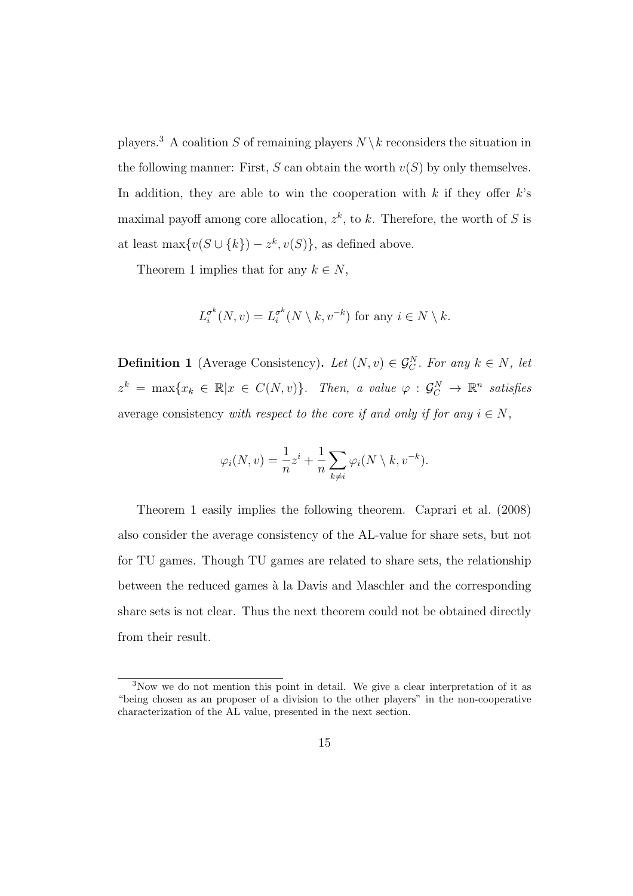players.<sup>3</sup> A coalition *S* of remaining players  $N \setminus k$  reconsiders the situation in the following manner: First,  $S$  can obtain the worth  $v(S)$  by only themselves. In addition, they are able to win the cooperation with *k* if they offer *k*'s maximal payoff among core allocation,  $z^k$ , to k. Therefore, the worth of S is at least max $\{v(S \cup \{k\}) - z^k, v(S)\}\)$ , as defined above.

Theorem 1 implies that for any  $k \in N$ ,

$$
L_i^{\sigma^k}(N, v) = L_i^{\sigma^k}(N \setminus k, v^{-k})
$$
 for any  $i \in N \setminus k$ .

**Definition 1** (Average Consistency). Let  $(N, v) \in \mathcal{G}_C^N$ . For any  $k \in N$ , let  $z^k = \max\{x_k \in \mathbb{R} | x \in C(N, v)\}.$  Then, a value  $\varphi : \mathcal{G}_C^N \to \mathbb{R}^n$  satisfies average consistency *with respect to the core if and only if for any*  $i \in N$ ,

$$
\varphi_i(N, v) = \frac{1}{n}z^i + \frac{1}{n}\sum_{k \neq i} \varphi_i(N \setminus k, v^{-k}).
$$

Theorem 1 easily implies the following theorem. Caprari et al. (2008) also consider the average consistency of the AL-value for share sets, but not for TU games. Though TU games are related to share sets, the relationship between the reduced games à la Davis and Maschler and the corresponding share sets is not clear. Thus the next theorem could not be obtained directly from their result.

<sup>3</sup>Now we do not mention this point in detail. We give a clear interpretation of it as "being chosen as an proposer of a division to the other players" in the non-cooperative characterization of the AL value, presented in the next section.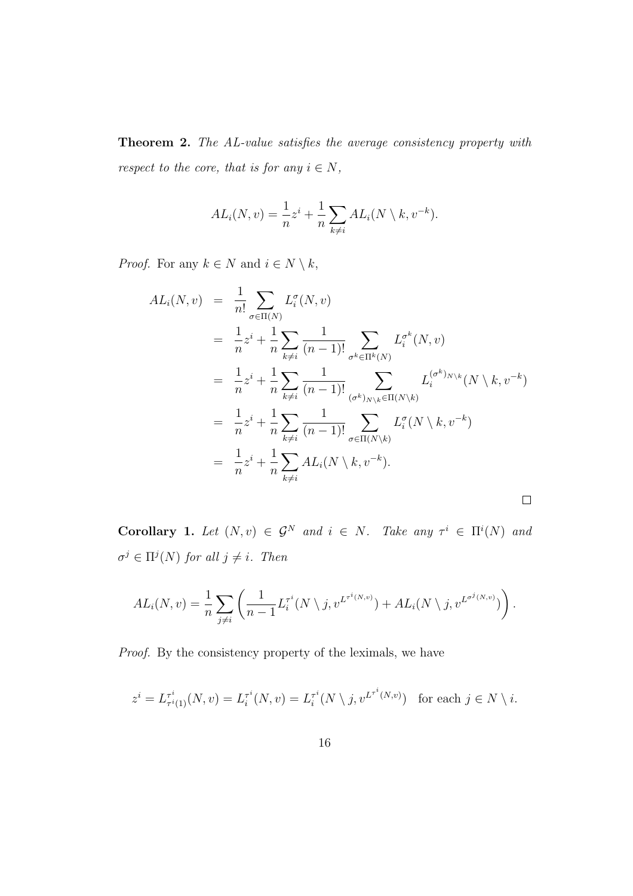**Theorem 2.** *The AL-value satisfies the average consistency property with respect to the core, that is for any*  $i \in N$ *,* 

$$
AL_i(N, v) = \frac{1}{n}z^i + \frac{1}{n}\sum_{k \neq i} AL_i(N \setminus k, v^{-k}).
$$

*Proof.* For any  $k \in N$  and  $i \in N \setminus k$ ,

$$
AL_i(N, v) = \frac{1}{n!} \sum_{\sigma \in \Pi(N)} L_i^{\sigma}(N, v)
$$
  
\n
$$
= \frac{1}{n} z^i + \frac{1}{n} \sum_{k \neq i} \frac{1}{(n-1)!} \sum_{\sigma^k \in \Pi^k(N)} L_i^{\sigma^k}(N, v)
$$
  
\n
$$
= \frac{1}{n} z^i + \frac{1}{n} \sum_{k \neq i} \frac{1}{(n-1)!} \sum_{(\sigma^k)_{N \setminus k} \in \Pi(N \setminus k)} L_i^{(\sigma^k)_{N \setminus k}}(N \setminus k, v^{-k})
$$
  
\n
$$
= \frac{1}{n} z^i + \frac{1}{n} \sum_{k \neq i} \frac{1}{(n-1)!} \sum_{\sigma \in \Pi(N \setminus k)} L_i^{\sigma}(N \setminus k, v^{-k})
$$
  
\n
$$
= \frac{1}{n} z^i + \frac{1}{n} \sum_{k \neq i} AL_i(N \setminus k, v^{-k}).
$$

**Corollary 1.** Let  $(N, v) \in \mathcal{G}^N$  and  $i \in N$ . Take any  $\tau^i \in \Pi^i(N)$  and  $\sigma^j \in \Pi^j(N)$  *for all*  $j \neq i$ *. Then* 

$$
AL_i(N, v) = \frac{1}{n} \sum_{j \neq i} \left( \frac{1}{n-1} L_i^{\tau^i}(N \setminus j, v^{L^{\tau^i(N, v)}}) + AL_i(N \setminus j, v^{L^{\sigma^j(N, v)}}) \right).
$$

*Proof.* By the consistency property of the leximals, we have

$$
z^{i} = L_{\tau^{i}(1)}^{\tau^{i}}(N, v) = L_{i}^{\tau^{i}}(N, v) = L_{i}^{\tau^{i}}(N \setminus j, v^{L^{\tau^{i}}(N, v)}) \text{ for each } j \in N \setminus i.
$$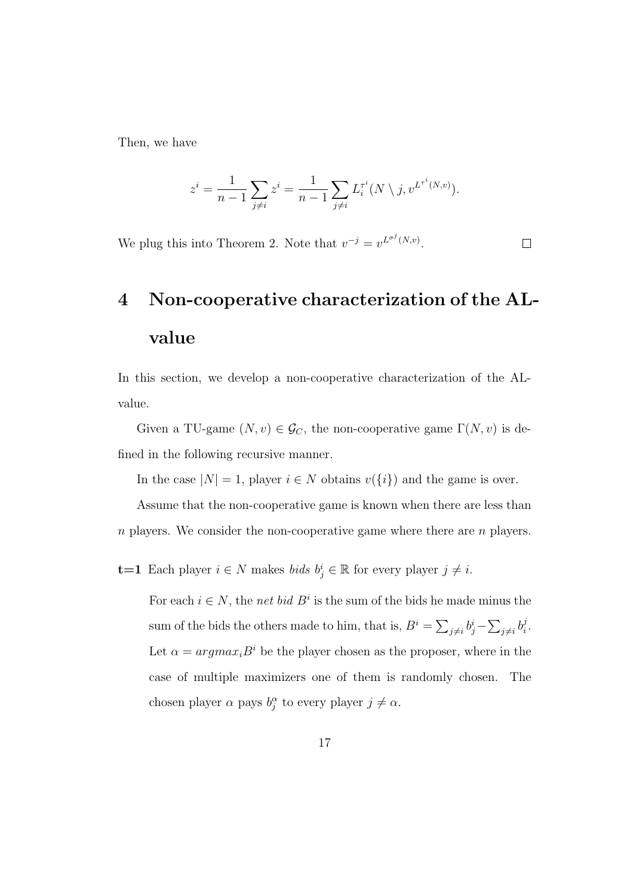Then, we have

$$
z^{i} = \frac{1}{n-1} \sum_{j \neq i} z^{i} = \frac{1}{n-1} \sum_{j \neq i} L_{i}^{\tau^{i}}(N \setminus j, v^{L^{\tau^{i}}(N,v)}).
$$

 $\Box$ 

We plug this into Theorem 2. Note that  $v^{-j} = v^{L^{\sigma^j}(N,v)}$ .

## **4 Non-cooperative characterization of the ALvalue**

In this section, we develop a non-cooperative characterization of the ALvalue.

Given a TU-game  $(N, v) \in \mathcal{G}_C$ , the non-cooperative game  $\Gamma(N, v)$  is defined in the following recursive manner.

In the case  $|N| = 1$ , player  $i \in N$  obtains  $v({i})$  and the game is over.

Assume that the non-cooperative game is known when there are less than *n* players. We consider the non-cooperative game where there are *n* players.

**t=1** Each player  $i \in N$  makes *bids*  $b_j^i \in \mathbb{R}$  for every player  $j \neq i$ .

For each  $i \in N$ , the *net bid*  $B^i$  is the sum of the bids he made minus the sum of the bids the others made to him, that is,  $B^i = \sum_{j \neq i} b^i_j - \sum_{j \neq i} b^j_i$ *i .* Let  $\alpha = argmax_i B^i$  be the player chosen as the proposer, where in the case of multiple maximizers one of them is randomly chosen. The chosen player  $\alpha$  pays  $b_j^{\alpha}$  to every player  $j \neq \alpha$ .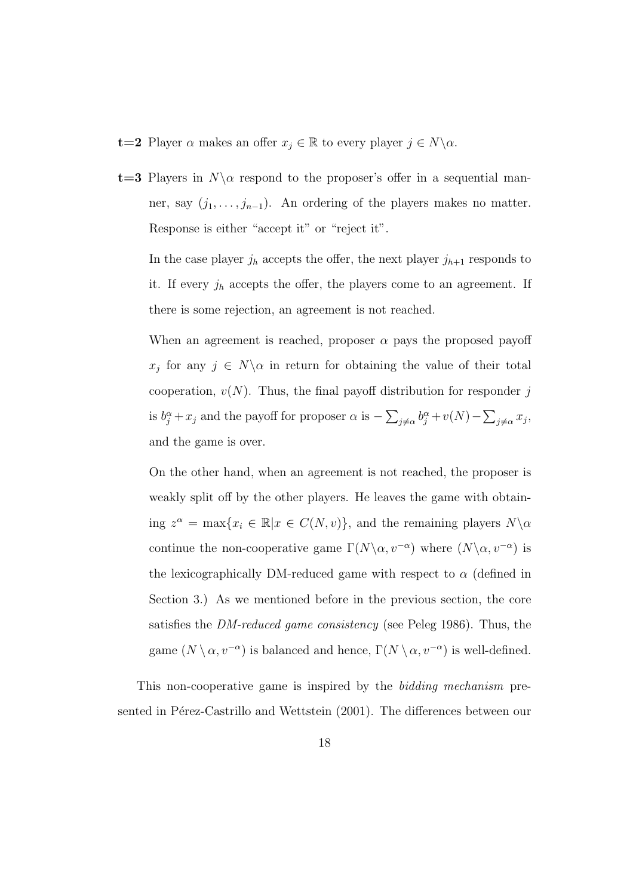- **t=2** Player  $\alpha$  makes an offer  $x_j \in \mathbb{R}$  to every player  $j \in N \setminus \alpha$ .
- **t=3** Players in  $N\alpha$  respond to the proposer's offer in a sequential manner, say  $(j_1, \ldots, j_{n-1})$ . An ordering of the players makes no matter. Response is either "accept it" or "reject it".

In the case player  $j_h$  accepts the offer, the next player  $j_{h+1}$  responds to it. If every  $j_h$  accepts the offer, the players come to an agreement. If there is some rejection, an agreement is not reached.

When an agreement is reached, proposer  $\alpha$  pays the proposed payoff  $x_j$  for any  $j \in N \setminus \alpha$  in return for obtaining the value of their total cooperation,  $v(N)$ . Thus, the final payoff distribution for responder *j* is  $b_j^{\alpha} + x_j$  and the payoff for proposer  $\alpha$  is  $-\sum_{j\neq \alpha} b_j^{\alpha} + v(N) - \sum_{j\neq \alpha} x_j$ , and the game is over.

On the other hand, when an agreement is not reached, the proposer is weakly split off by the other players. He leaves the game with obtain- $\lim_{n \to \infty} z^n = \max\{x_i \in \mathbb{R} | x \in C(N, v)\},\$ and the remaining players  $N \setminus \alpha$ continue the non-cooperative game  $\Gamma(N\backslash \alpha, v^{-\alpha})$  where  $(N\backslash \alpha, v^{-\alpha})$  is the lexicographically DM-reduced game with respect to  $\alpha$  (defined in Section 3.) As we mentioned before in the previous section, the core satisfies the *DM-reduced game consistency* (see Peleg 1986). Thus, the game  $(N \setminus \alpha, v^{-\alpha})$  is balanced and hence,  $\Gamma(N \setminus \alpha, v^{-\alpha})$  is well-defined.

This non-cooperative game is inspired by the *bidding mechanism* presented in Pérez-Castrillo and Wettstein (2001). The differences between our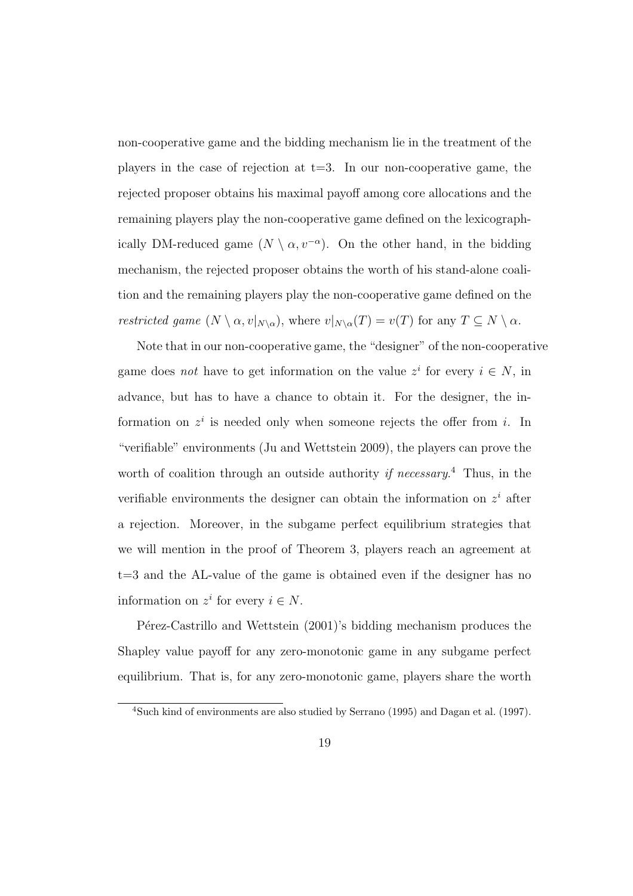non-cooperative game and the bidding mechanism lie in the treatment of the players in the case of rejection at  $t=3$ . In our non-cooperative game, the rejected proposer obtains his maximal payoff among core allocations and the remaining players play the non-cooperative game defined on the lexicographically DM-reduced game  $(N \setminus \alpha, v^{-\alpha})$ . On the other hand, in the bidding mechanism, the rejected proposer obtains the worth of his stand-alone coalition and the remaining players play the non-cooperative game defined on the *restricted game*  $(N \setminus \alpha, v|_{N \setminus \alpha})$ , where  $v|_{N \setminus \alpha}(T) = v(T)$  for any  $T \subseteq N \setminus \alpha$ .

Note that in our non-cooperative game, the "designer" of the non-cooperative game does *not* have to get information on the value  $z^i$  for every  $i \in N$ , in advance, but has to have a chance to obtain it. For the designer, the information on  $z^i$  is needed only when someone rejects the offer from *i*. In "verifiable" environments (Ju and Wettstein 2009), the players can prove the worth of coalition through an outside authority *if necessary*. <sup>4</sup> Thus, in the verifiable environments the designer can obtain the information on *z <sup>i</sup>* after a rejection. Moreover, in the subgame perfect equilibrium strategies that we will mention in the proof of Theorem 3, players reach an agreement at t=3 and the AL-value of the game is obtained even if the designer has no information on  $z^i$  for every  $i \in N$ .

Pérez-Castrillo and Wettstein (2001)'s bidding mechanism produces the Shapley value payoff for any zero-monotonic game in any subgame perfect equilibrium. That is, for any zero-monotonic game, players share the worth

<sup>4</sup>Such kind of environments are also studied by Serrano (1995) and Dagan et al. (1997).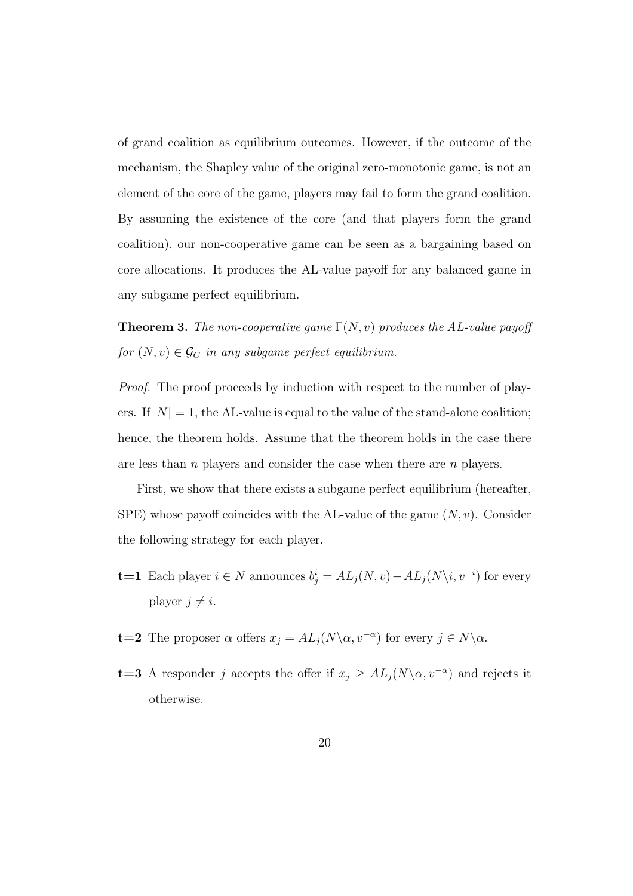of grand coalition as equilibrium outcomes. However, if the outcome of the mechanism, the Shapley value of the original zero-monotonic game, is not an element of the core of the game, players may fail to form the grand coalition. By assuming the existence of the core (and that players form the grand coalition), our non-cooperative game can be seen as a bargaining based on core allocations. It produces the AL-value payoff for any balanced game in any subgame perfect equilibrium.

**Theorem 3.** *The non-cooperative game*  $\Gamma(N, v)$  *produces the AL-value payoff for*  $(N, v) \in \mathcal{G}_C$  *in any subgame perfect equilibrium.* 

*Proof.* The proof proceeds by induction with respect to the number of players. If  $|N|=1$ , the AL-value is equal to the value of the stand-alone coalition; hence, the theorem holds. Assume that the theorem holds in the case there are less than *n* players and consider the case when there are *n* players.

First, we show that there exists a subgame perfect equilibrium (hereafter, SPE) whose payoff coincides with the AL-value of the game (*N, v*). Consider the following strategy for each player.

- **t**=1 Each player  $i \in N$  announces  $b_j^i = AL_j(N, v) AL_j(N \setminus i, v^{-i})$  for every player  $j \neq i$ .
- **t=2** The proposer  $\alpha$  offers  $x_j = AL_j(N \setminus \alpha, v^{-\alpha})$  for every  $j \in N \setminus \alpha$ .
- **t=3** A responder *j* accepts the offer if  $x_j \geq A L_j(N \setminus \alpha, v^{-\alpha})$  and rejects it otherwise.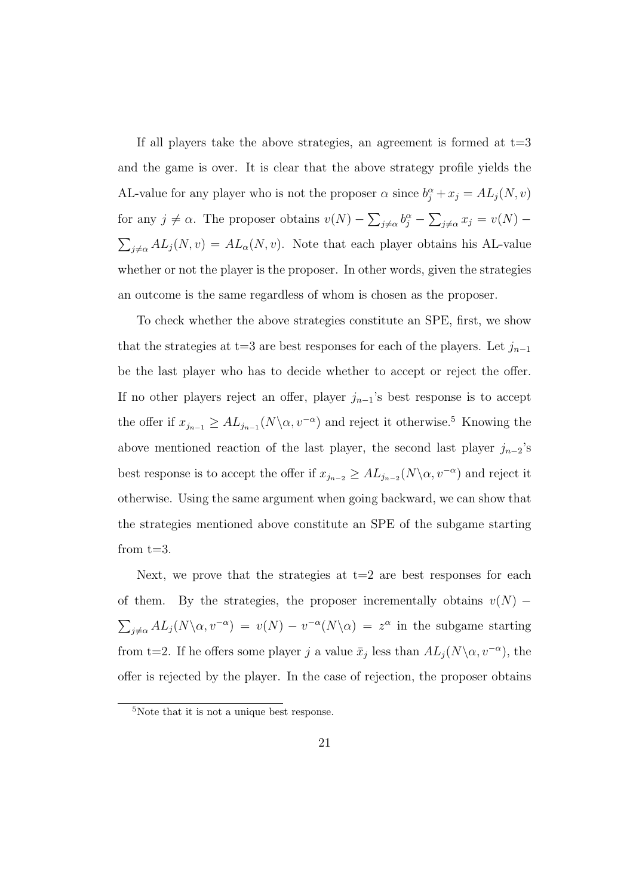If all players take the above strategies, an agreement is formed at  $t=3$ and the game is over. It is clear that the above strategy profile yields the AL-value for any player who is not the proposer  $\alpha$  since  $b_j^{\alpha} + x_j = AL_j(N, v)$ for any  $j \neq \alpha$ . The proposer obtains  $v(N) - \sum_{j \neq \alpha} b_j^{\alpha} - \sum_{j \neq \alpha} x_j = v(N) \sum_{j \neq \alpha} A L_j(N, v) = A L_\alpha(N, v)$ . Note that each player obtains his AL-value whether or not the player is the proposer. In other words, given the strategies an outcome is the same regardless of whom is chosen as the proposer.

To check whether the above strategies constitute an SPE, first, we show that the strategies at t=3 are best responses for each of the players. Let  $j_{n-1}$ be the last player who has to decide whether to accept or reject the offer. If no other players reject an offer, player  $j_{n-1}$ 's best response is to accept the offer if  $x_{j_{n-1}} \geq AL_{j_{n-1}}(N \setminus \alpha, v^{-\alpha})$  and reject it otherwise.<sup>5</sup> Knowing the above mentioned reaction of the last player, the second last player  $j_{n-2}$ 's best response is to accept the offer if  $x_{j_{n-2}} \geq AL_{j_{n-2}}(N \setminus \alpha, v^{-\alpha})$  and reject it otherwise. Using the same argument when going backward, we can show that the strategies mentioned above constitute an SPE of the subgame starting from  $t=3$ .

Next, we prove that the strategies at  $t=2$  are best responses for each of them. By the strategies, the proposer incrementally obtains  $v(N)$  –  $\sum_{j\neq\alpha}AL_j(N\setminus\alpha, v^{-\alpha}) = v(N) - v^{-\alpha}(N\setminus\alpha) = z^{\alpha}$  in the subgame starting from t=2. If he offers some player *j* a value  $\bar{x}_j$  less than  $AL_j(N\backslash \alpha, v^{-\alpha})$ , the offer is rejected by the player. In the case of rejection, the proposer obtains

<sup>5</sup>Note that it is not a unique best response.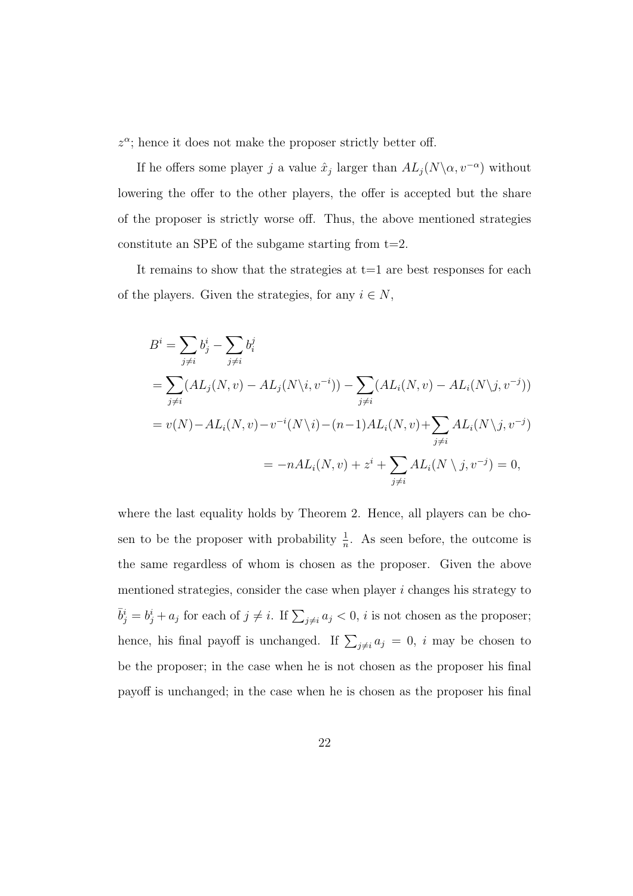*z α* ; hence it does not make the proposer strictly better off.

If he offers some player *j* a value  $\hat{x}_j$  larger than  $AL_j(N\backslash \alpha, v^{-\alpha})$  without lowering the offer to the other players, the offer is accepted but the share of the proposer is strictly worse off. Thus, the above mentioned strategies constitute an SPE of the subgame starting from  $t=2$ .

It remains to show that the strategies at  $t=1$  are best responses for each of the players. Given the strategies, for any  $i \in N$ ,

$$
B^{i} = \sum_{j \neq i} b_{j}^{i} - \sum_{j \neq i} b_{i}^{j}
$$
  
=  $\sum_{j \neq i} (AL_{j}(N, v) - AL_{j}(N \setminus i, v^{-i})) - \sum_{j \neq i} (AL_{i}(N, v) - AL_{i}(N \setminus j, v^{-j}))$   
=  $v(N) - AL_{i}(N, v) - v^{-i}(N \setminus i) - (n - 1)AL_{i}(N, v) + \sum_{j \neq i} AL_{i}(N \setminus j, v^{-j})$   
=  $-nAL_{i}(N, v) + z^{i} + \sum_{j \neq i} AL_{i}(N \setminus j, v^{-j}) = 0,$ 

where the last equality holds by Theorem 2. Hence, all players can be chosen to be the proposer with probability  $\frac{1}{n}$ . As seen before, the outcome is the same regardless of whom is chosen as the proposer. Given the above mentioned strategies, consider the case when player *i* changes his strategy to  $\overline{b}^i_j = b^i_j + a_j$  for each of  $j \neq i$ . If  $\sum_{j \neq i} a_j < 0$ , *i* is not chosen as the proposer; hence, his final payoff is unchanged. If  $\sum_{j\neq i} a_j = 0$ , *i* may be chosen to be the proposer; in the case when he is not chosen as the proposer his final payoff is unchanged; in the case when he is chosen as the proposer his final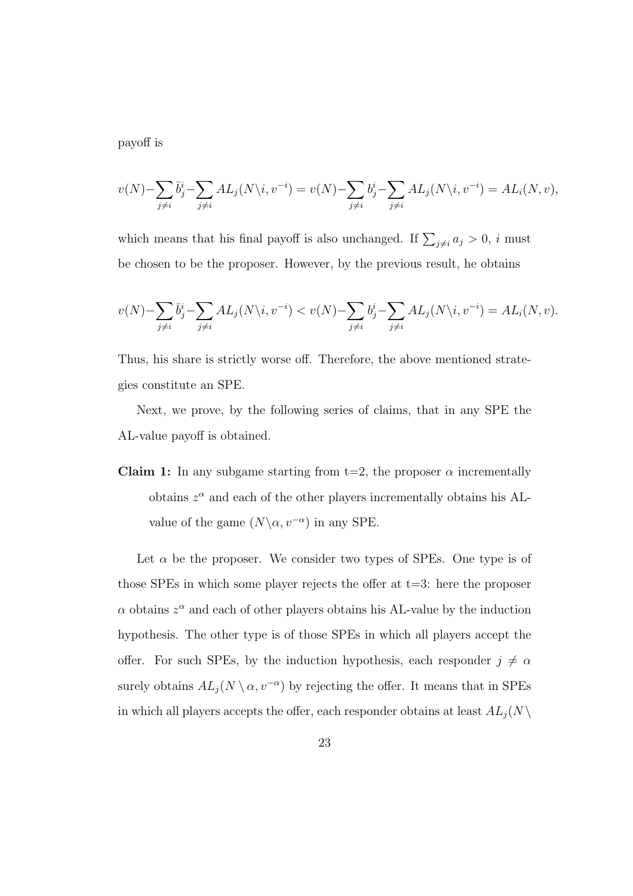payoff is

$$
v(N) - \sum_{j \neq i} \bar{b}_j^i - \sum_{j \neq i} AL_j(N \backslash i, v^{-i}) = v(N) - \sum_{j \neq i} b_j^i - \sum_{j \neq i} AL_j(N \backslash i, v^{-i}) = AL_i(N, v),
$$

which means that his final payoff is also unchanged. If  $\sum_{j\neq i} a_j > 0$ , *i* must be chosen to be the proposer. However, by the previous result, he obtains

$$
v(N) - \sum_{j \neq i} \bar{b}_j^i - \sum_{j \neq i} AL_j(N \backslash i, v^{-i}) < v(N) - \sum_{j \neq i} b_j^i - \sum_{j \neq i} AL_j(N \backslash i, v^{-i}) = AL_i(N, v).
$$

Thus, his share is strictly worse off. Therefore, the above mentioned strategies constitute an SPE.

Next, we prove, by the following series of claims, that in any SPE the AL-value payoff is obtained.

**Claim 1:** In any subgame starting from  $t=2$ , the proposer  $\alpha$  incrementally obtains  $z^{\alpha}$  and each of the other players incrementally obtains his ALvalue of the game  $(N\setminus\alpha, v^{-\alpha})$  in any SPE.

Let  $\alpha$  be the proposer. We consider two types of SPEs. One type is of those SPEs in which some player rejects the offer at  $t=3$ : here the proposer *α* obtains *z <sup>α</sup>* and each of other players obtains his AL-value by the induction hypothesis. The other type is of those SPEs in which all players accept the offer. For such SPEs, by the induction hypothesis, each responder  $j \neq \alpha$ surely obtains  $AL_j(N \setminus \alpha, v^{-\alpha})$  by rejecting the offer. It means that in SPEs in which all players accepts the offer, each responder obtains at least  $AL_j(N \setminus$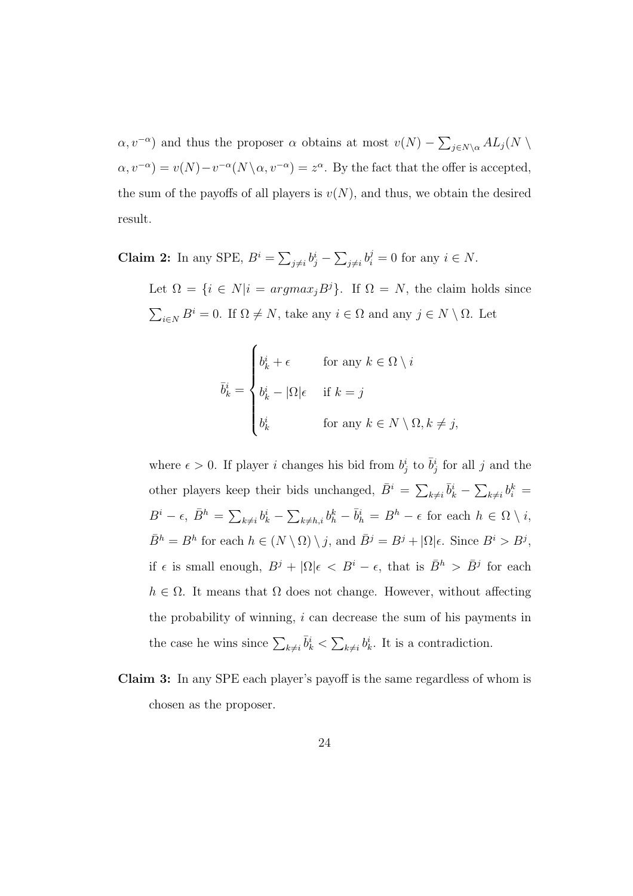$\alpha, v^{-\alpha}$ ) and thus the proposer  $\alpha$  obtains at most  $v(N) - \sum_{j \in N \setminus \alpha} A L_j(N)$  $\alpha, v^{-\alpha}$ ) =  $v(N) - v^{-\alpha}(N \setminus \alpha, v^{-\alpha}) = z^{\alpha}$ . By the fact that the offer is accepted, the sum of the payoffs of all players is  $v(N)$ , and thus, we obtain the desired result.

**Claim 2:** In any SPE,  $B^i = \sum_{j \neq i} b^i_j - \sum_{j \neq i} b^j_i = 0$  for any  $i \in N$ .

Let  $\Omega = \{i \in N | i = argmax_j B^j\}$ . If  $\Omega = N$ , the claim holds since  $\sum_{i \in N} B^i = 0$ . If  $\Omega \neq N$ , take any  $i \in \Omega$  and any  $j \in N \setminus \Omega$ . Let

$$
\bar{b}_k^i = \begin{cases} b_k^i + \epsilon & \text{for any } k \in \Omega \setminus i \\ b_k^i - |\Omega| \epsilon & \text{if } k = j \\ b_k^i & \text{for any } k \in N \setminus \Omega, k \neq j, \end{cases}
$$

where  $\epsilon > 0$ . If player *i* changes his bid from  $b_j^i$  to  $\bar{b}_j^i$  for all *j* and the other players keep their bids unchanged,  $\bar{B}^i = \sum_{k \neq i} \bar{b}^i_k - \sum_{k \neq i} b^k_i =$  $B^i - \epsilon$ ,  $\bar{B}^h = \sum_{k \neq i} b^i_k - \sum_{k \neq h,i} b^k_h - \bar{b}^i_h = B^h - \epsilon$  for each  $h \in \Omega \setminus i$ ,  $\overline{B}^h = B^h$  for each  $h \in (N \setminus \Omega) \setminus j$ , and  $\overline{B}^j = B^j + |\Omega| \epsilon$ . Since  $B^i > B^j$ , if  $\epsilon$  is small enough,  $B^j + |\Omega|\epsilon \langle B^i - \epsilon, \text{ that is } \bar{B}^h \rangle \bar{B}^j$  for each  $h \in \Omega$ . It means that  $\Omega$  does not change. However, without affecting the probability of winning, *i* can decrease the sum of his payments in the case he wins since  $\sum_{k\neq i} \bar{b}_k^i < \sum_{k\neq i} b_k^i$ . It is a contradiction.

**Claim 3:** In any SPE each player's payoff is the same regardless of whom is chosen as the proposer.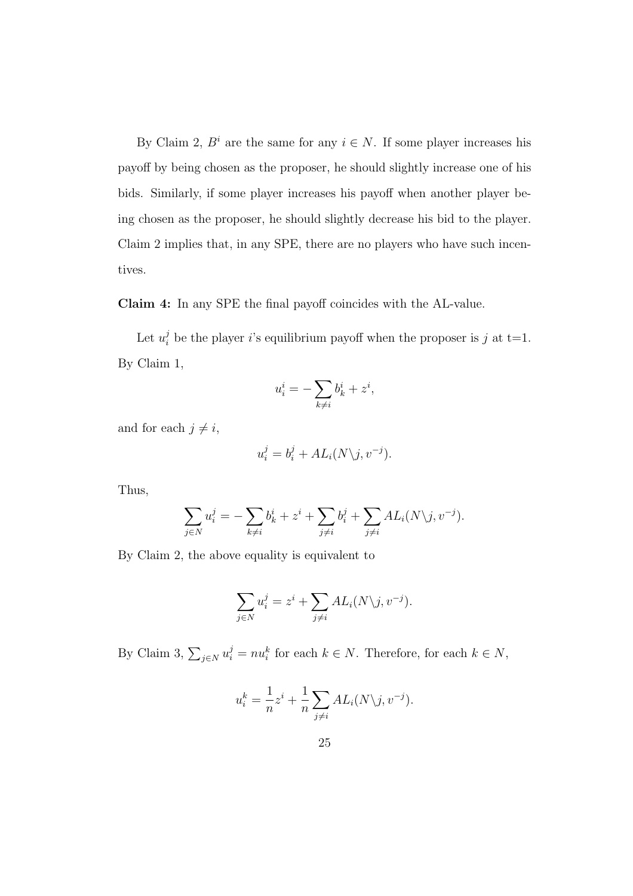By Claim 2,  $B^i$  are the same for any  $i \in N$ . If some player increases his payoff by being chosen as the proposer, he should slightly increase one of his bids. Similarly, if some player increases his payoff when another player being chosen as the proposer, he should slightly decrease his bid to the player. Claim 2 implies that, in any SPE, there are no players who have such incentives.

**Claim 4:** In any SPE the final payoff coincides with the AL-value.

Let  $u_i^j$  be the player *i*'s equilibrium payoff when the proposer is *j* at t=1. By Claim 1,

$$
u_i^i = -\sum_{k \neq i} b_k^i + z^i,
$$

and for each  $j \neq i$ ,

$$
u_i^j = b_i^j + AL_i(N \setminus j, v^{-j}).
$$

Thus,

$$
\sum_{j \in N} u_i^j = -\sum_{k \neq i} b_k^i + z^i + \sum_{j \neq i} b_i^j + \sum_{j \neq i} AL_i(N \setminus j, v^{-j}).
$$

By Claim 2, the above equality is equivalent to

$$
\sum_{j \in N} u_i^j = z^i + \sum_{j \neq i} AL_i(N \setminus j, v^{-j}).
$$

By Claim 3,  $\sum_{j \in N} u_i^j = nu_i^k$  for each  $k \in N$ . Therefore, for each  $k \in N$ ,

$$
u_i^k = \frac{1}{n}z^i + \frac{1}{n}\sum_{j\neq i} AL_i(N\backslash j, v^{-j}).
$$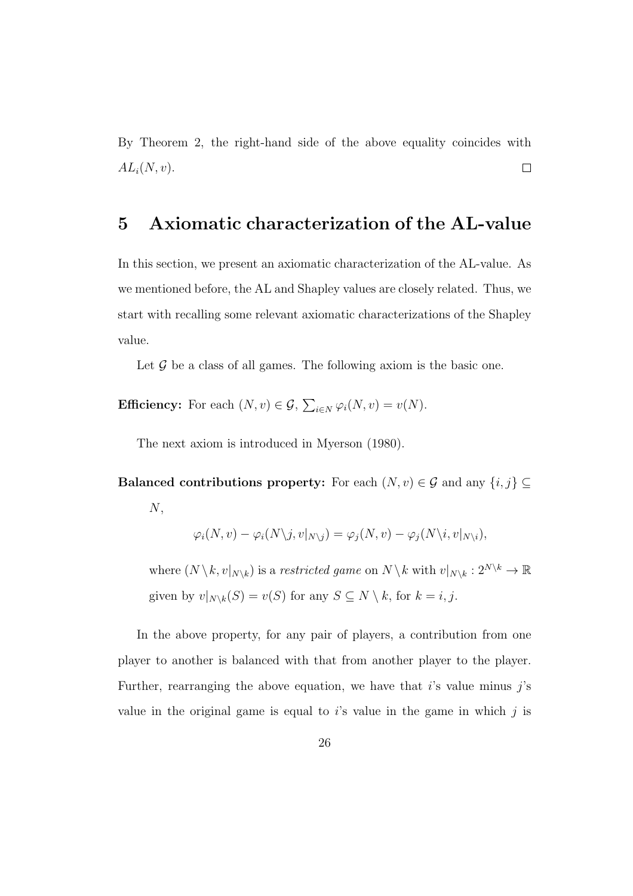By Theorem 2, the right-hand side of the above equality coincides with  $AL_i(N, v)$ .  $\Box$ 

#### **5 Axiomatic characterization of the AL-value**

In this section, we present an axiomatic characterization of the AL-value. As we mentioned before, the AL and Shapley values are closely related. Thus, we start with recalling some relevant axiomatic characterizations of the Shapley value.

Let  $\mathcal G$  be a class of all games. The following axiom is the basic one.

**Efficiency:** For each  $(N, v) \in \mathcal{G}$ ,  $\sum_{i \in N} \varphi_i(N, v) = v(N)$ .

The next axiom is introduced in Myerson (1980).

Balanced contributions property: For each  $(N, v) \in \mathcal{G}$  and any  $\{i, j\} \subseteq$ *N*,

$$
\varphi_i(N, v) - \varphi_i(N \setminus j, v|_{N \setminus j}) = \varphi_j(N, v) - \varphi_j(N \setminus i, v|_{N \setminus i}),
$$

where  $(N \setminus k, v|_{N \setminus k})$  is a *restricted game* on  $N \setminus k$  with  $v|_{N \setminus k}: 2^{N \setminus k} \to \mathbb{R}$ given by  $v|_{N\setminus k}(S) = v(S)$  for any  $S \subseteq N \setminus k$ , for  $k = i, j$ .

In the above property, for any pair of players, a contribution from one player to another is balanced with that from another player to the player. Further, rearranging the above equation, we have that *i*'s value minus *j*'s value in the original game is equal to *i*'s value in the game in which *j* is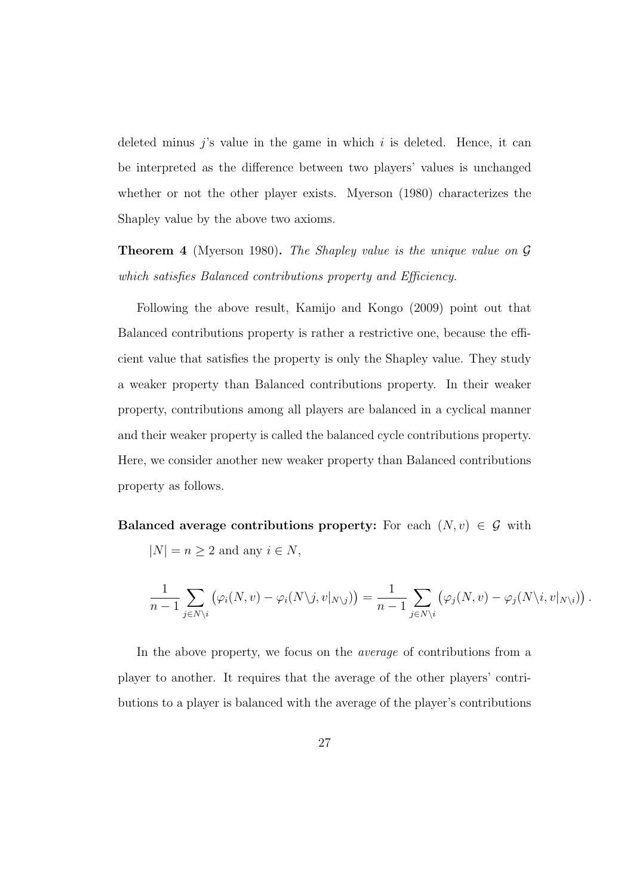deleted minus *j*'s value in the game in which *i* is deleted. Hence, it can be interpreted as the difference between two players' values is unchanged whether or not the other player exists. Myerson (1980) characterizes the Shapley value by the above two axioms.

**Theorem 4** (Myerson 1980)**.** *The Shapley value is the unique value on G which satisfies Balanced contributions property and Efficiency.*

Following the above result, Kamijo and Kongo (2009) point out that Balanced contributions property is rather a restrictive one, because the efficient value that satisfies the property is only the Shapley value. They study a weaker property than Balanced contributions property. In their weaker property, contributions among all players are balanced in a cyclical manner and their weaker property is called the balanced cycle contributions property. Here, we consider another new weaker property than Balanced contributions property as follows.

**Balanced average contributions property:** For each  $(N, v) \in \mathcal{G}$  with

 $|N| = n \geq 2$  and any  $i \in N$ ,

$$
\frac{1}{n-1}\sum_{j\in N\setminus i}\left(\varphi_i(N,v)-\varphi_i(N\setminus j,v|_{N\setminus j})\right)=\frac{1}{n-1}\sum_{j\in N\setminus i}\left(\varphi_j(N,v)-\varphi_j(N\setminus i,v|_{N\setminus i})\right).
$$

In the above property, we focus on the *average* of contributions from a player to another. It requires that the average of the other players' contributions to a player is balanced with the average of the player's contributions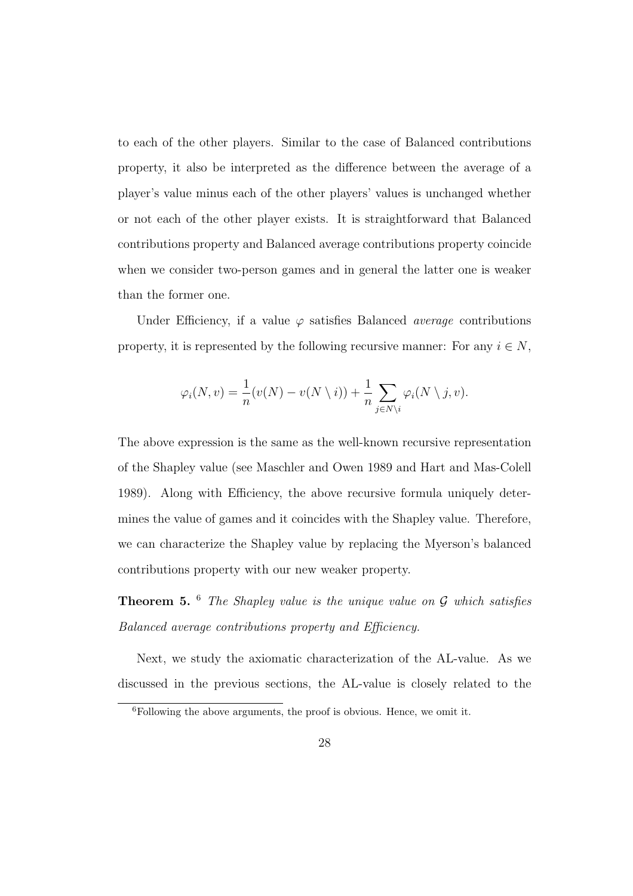to each of the other players. Similar to the case of Balanced contributions property, it also be interpreted as the difference between the average of a player's value minus each of the other players' values is unchanged whether or not each of the other player exists. It is straightforward that Balanced contributions property and Balanced average contributions property coincide when we consider two-person games and in general the latter one is weaker than the former one.

Under Efficiency, if a value  $\varphi$  satisfies Balanced *average* contributions property, it is represented by the following recursive manner: For any  $i \in N$ ,

$$
\varphi_i(N, v) = \frac{1}{n}(v(N) - v(N \setminus i)) + \frac{1}{n} \sum_{j \in N \setminus i} \varphi_i(N \setminus j, v).
$$

The above expression is the same as the well-known recursive representation of the Shapley value (see Maschler and Owen 1989 and Hart and Mas-Colell 1989). Along with Efficiency, the above recursive formula uniquely determines the value of games and it coincides with the Shapley value. Therefore, we can characterize the Shapley value by replacing the Myerson's balanced contributions property with our new weaker property.

**Theorem 5.** <sup>6</sup> *The Shapley value is the unique value on G which satisfies Balanced average contributions property and Efficiency.*

Next, we study the axiomatic characterization of the AL-value. As we discussed in the previous sections, the AL-value is closely related to the

 ${}^{6}$ Following the above arguments, the proof is obvious. Hence, we omit it.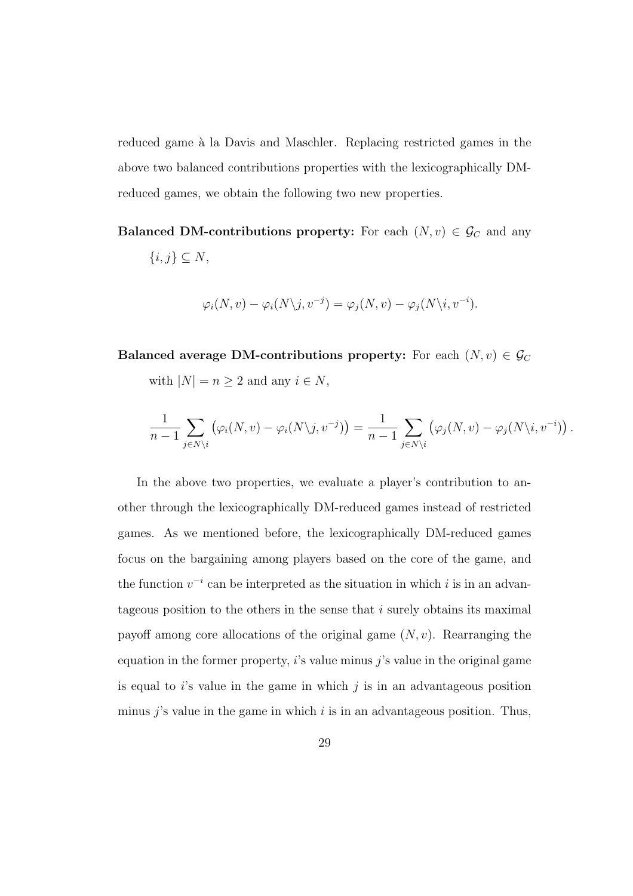reduced game à la Davis and Maschler. Replacing restricted games in the above two balanced contributions properties with the lexicographically DMreduced games, we obtain the following two new properties.

**Balanced DM-contributions property:** For each  $(N, v) \in \mathcal{G}_C$  and any *{i, j} ⊆ N*,

$$
\varphi_i(N, v) - \varphi_i(N \setminus j, v^{-j}) = \varphi_j(N, v) - \varphi_j(N \setminus i, v^{-i}).
$$

**Balanced average DM-contributions property:** For each  $(N, v) \in \mathcal{G}_C$ with  $|N| = n \geq 2$  and any  $i \in N$ ,

$$
\frac{1}{n-1}\sum_{j\in N\setminus i}\left(\varphi_i(N,v)-\varphi_i(N\setminus j,v^{-j})\right)=\frac{1}{n-1}\sum_{j\in N\setminus i}\left(\varphi_j(N,v)-\varphi_j(N\setminus i,v^{-i})\right).
$$

In the above two properties, we evaluate a player's contribution to another through the lexicographically DM-reduced games instead of restricted games. As we mentioned before, the lexicographically DM-reduced games focus on the bargaining among players based on the core of the game, and the function  $v^{-i}$  can be interpreted as the situation in which *i* is in an advantageous position to the others in the sense that *i* surely obtains its maximal payoff among core allocations of the original game (*N, v*). Rearranging the equation in the former property, *i*'s value minus *j*'s value in the original game is equal to *i*'s value in the game in which *j* is in an advantageous position minus *j*'s value in the game in which *i* is in an advantageous position. Thus,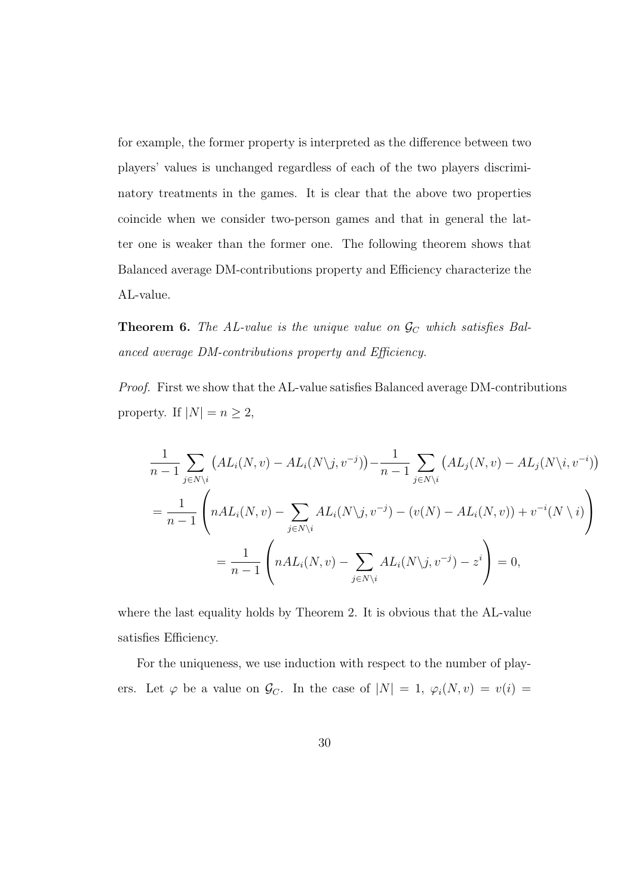for example, the former property is interpreted as the difference between two players' values is unchanged regardless of each of the two players discriminatory treatments in the games. It is clear that the above two properties coincide when we consider two-person games and that in general the latter one is weaker than the former one. The following theorem shows that Balanced average DM-contributions property and Efficiency characterize the AL-value.

**Theorem 6.** *The AL-value is the unique value on*  $\mathcal{G}_C$  *which satisfies Balanced average DM-contributions property and Efficiency.*

*Proof.* First we show that the AL-value satisfies Balanced average DM-contributions property. If  $|N| = n \geq 2$ ,

$$
\frac{1}{n-1} \sum_{j \in N \setminus i} \left( AL_i(N, v) - AL_i(N \setminus j, v^{-j}) \right) - \frac{1}{n-1} \sum_{j \in N \setminus i} \left( AL_j(N, v) - AL_j(N \setminus i, v^{-i}) \right)
$$
\n
$$
= \frac{1}{n-1} \left( nAL_i(N, v) - \sum_{j \in N \setminus i} AL_i(N \setminus j, v^{-j}) - (v(N) - AL_i(N, v)) + v^{-i}(N \setminus i) \right)
$$
\n
$$
= \frac{1}{n-1} \left( nAL_i(N, v) - \sum_{j \in N \setminus i} AL_i(N \setminus j, v^{-j}) - z^i \right) = 0,
$$

where the last equality holds by Theorem 2. It is obvious that the AL-value satisfies Efficiency.

For the uniqueness, we use induction with respect to the number of players. Let  $\varphi$  be a value on  $\mathcal{G}_C$ . In the case of  $|N| = 1$ ,  $\varphi_i(N, v) = v(i) =$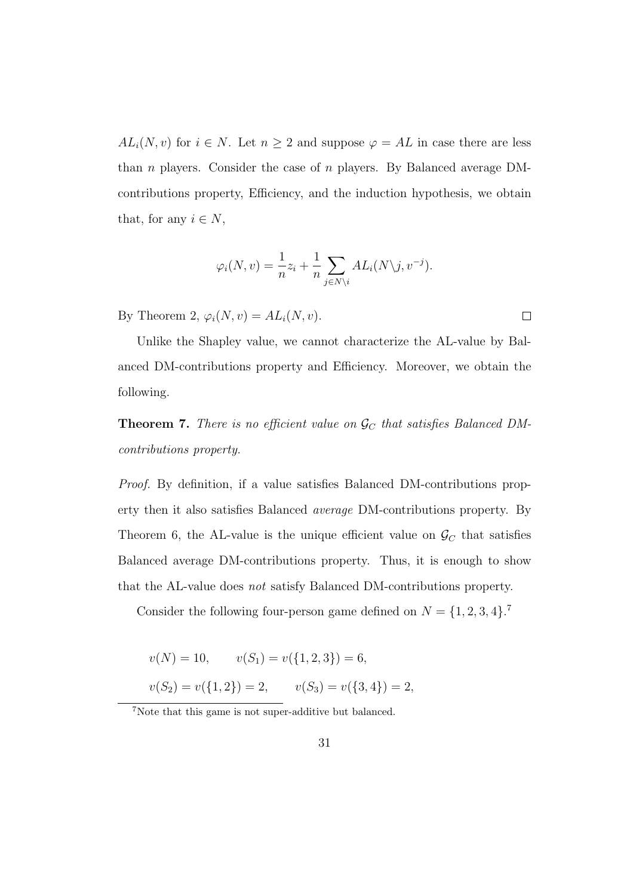*AL*<sup>*i*</sup>(*N, v*) for *i*  $\in$  *N*. Let *n*  $\geq$  2 and suppose  $\varphi$  = *AL* in case there are less than *n* players. Consider the case of *n* players. By Balanced average DMcontributions property, Efficiency, and the induction hypothesis, we obtain that, for any  $i \in N$ ,

$$
\varphi_i(N, v) = \frac{1}{n} z_i + \frac{1}{n} \sum_{j \in N \setminus i} A L_i(N \setminus j, v^{-j}).
$$

By Theorem 2,  $\varphi_i(N, v) = AL_i(N, v)$ .

Unlike the Shapley value, we cannot characterize the AL-value by Balanced DM-contributions property and Efficiency. Moreover, we obtain the following.

**Theorem 7.** *There is no efficient value on*  $\mathcal{G}_C$  *that satisfies Balanced DMcontributions property.*

*Proof.* By definition, if a value satisfies Balanced DM-contributions property then it also satisfies Balanced *average* DM-contributions property. By Theorem 6, the AL-value is the unique efficient value on  $\mathcal{G}_C$  that satisfies Balanced average DM-contributions property. Thus, it is enough to show that the AL-value does *not* satisfy Balanced DM-contributions property.

Consider the following four-person game defined on  $N = \{1, 2, 3, 4\}$ .<sup>7</sup>

$$
v(N) = 10, \qquad v(S_1) = v(\{1, 2, 3\}) = 6,
$$

 $v(S_2) = v({1, 2}) = 2, \qquad v(S_3) = v({3, 4}) = 2,$ 

 $7$ Note that this game is not super-additive but balanced.

 $\Box$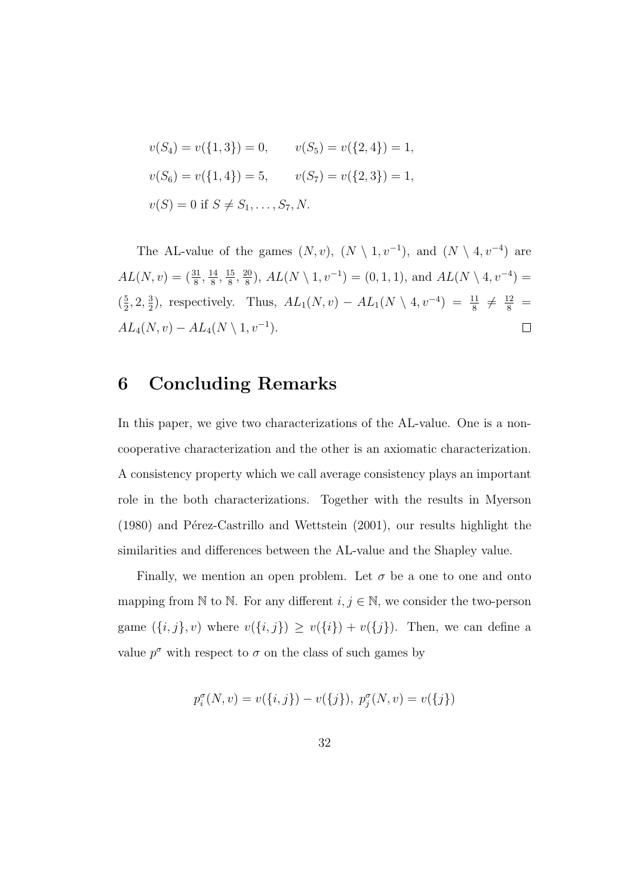$$
v(S_4) = v({1, 3}) = 0, \t v(S_5) = v({2, 4}) = 1,
$$
  

$$
v(S_6) = v({1, 4}) = 5, \t v(S_7) = v({2, 3}) = 1,
$$
  

$$
v(S) = 0 \text{ if } S \neq S_1, \dots, S_7, N.
$$

The AL-value of the games  $(N, v)$ ,  $(N \setminus 1, v^{-1})$ , and  $(N \setminus 4, v^{-4})$  are  $AL(N, v) = (\frac{31}{8}, \frac{14}{8})$  $\frac{14}{8}$ ,  $\frac{15}{8}$  $\frac{15}{8}$ ,  $\frac{20}{8}$  $\frac{20}{8}$ ,  $AL(N \setminus 1, v^{-1}) = (0, 1, 1)$ , and  $AL(N \setminus 4, v^{-4}) =$  $\left(\frac{5}{2}\right)$  $\frac{5}{2}$ , 2,  $\frac{3}{2}$  $\frac{3}{2}$ , respectively. Thus,  $AL_1(N, v) - AL_1(N \setminus 4, v^{-4}) = \frac{11}{8} \neq \frac{12}{8}$  $AL_4(N, v) - AL_4(N \setminus 1, v^{-1}).$  $\Box$ 

#### **6 Concluding Remarks**

In this paper, we give two characterizations of the AL-value. One is a noncooperative characterization and the other is an axiomatic characterization. A consistency property which we call average consistency plays an important role in the both characterizations. Together with the results in Myerson  $(1980)$  and Pérez-Castrillo and Wettstein  $(2001)$ , our results highlight the similarities and differences between the AL-value and the Shapley value.

Finally, we mention an open problem. Let  $\sigma$  be a one to one and onto mapping from N to N. For any different  $i, j \in \mathbb{N}$ , we consider the two-person game  $(\{i, j\}, v)$  where  $v(\{i, j\}) \ge v(\{i\}) + v(\{j\})$ . Then, we can define a value  $p^{\sigma}$  with respect to  $\sigma$  on the class of such games by

$$
p_i^{\sigma}(N, v) = v(\{i, j\}) - v(\{j\}), \ p_j^{\sigma}(N, v) = v(\{j\})
$$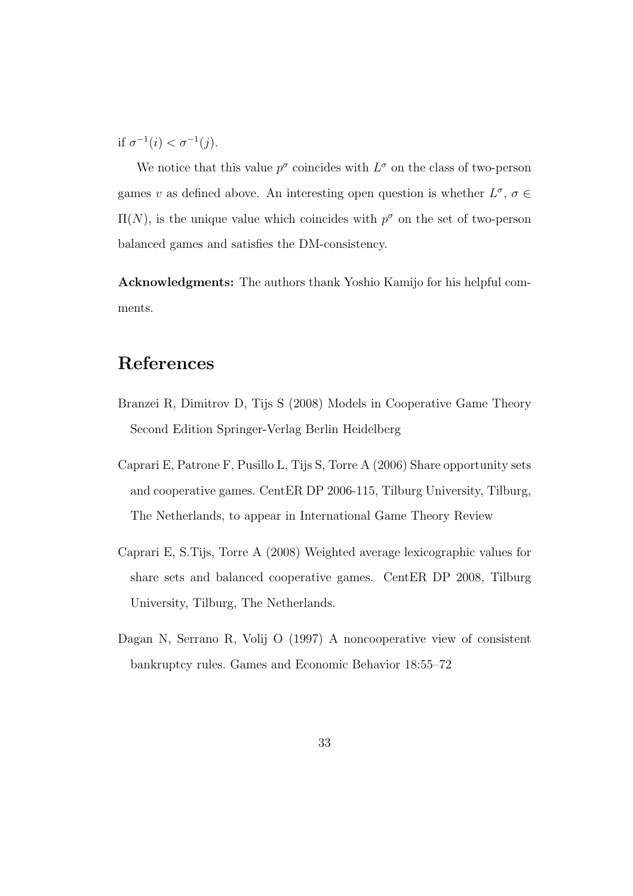if  $\sigma^{-1}(i) < \sigma^{-1}(j)$ .

We notice that this value  $p^{\sigma}$  coincides with  $L^{\sigma}$  on the class of two-person games *v* as defined above. An interesting open question is whether  $L^{\sigma}$ ,  $\sigma \in$  $\Pi(N)$ , is the unique value which coincides with  $p^{\sigma}$  on the set of two-person balanced games and satisfies the DM-consistency.

**Acknowledgments:** The authors thank Yoshio Kamijo for his helpful comments.

### **References**

- Branzei R, Dimitrov D, Tijs S (2008) Models in Cooperative Game Theory Second Edition Springer-Verlag Berlin Heidelberg
- Caprari E, Patrone F, Pusillo L, Tijs S, Torre A (2006) Share opportunity sets and cooperative games. CentER DP 2006-115, Tilburg University, Tilburg, The Netherlands, to appear in International Game Theory Review
- Caprari E, S.Tijs, Torre A (2008) Weighted average lexicographic values for share sets and balanced cooperative games. CentER DP 2008, Tilburg University, Tilburg, The Netherlands.
- Dagan N, Serrano R, Volij O (1997) A noncooperative view of consistent bankruptcy rules. Games and Economic Behavior 18:55–72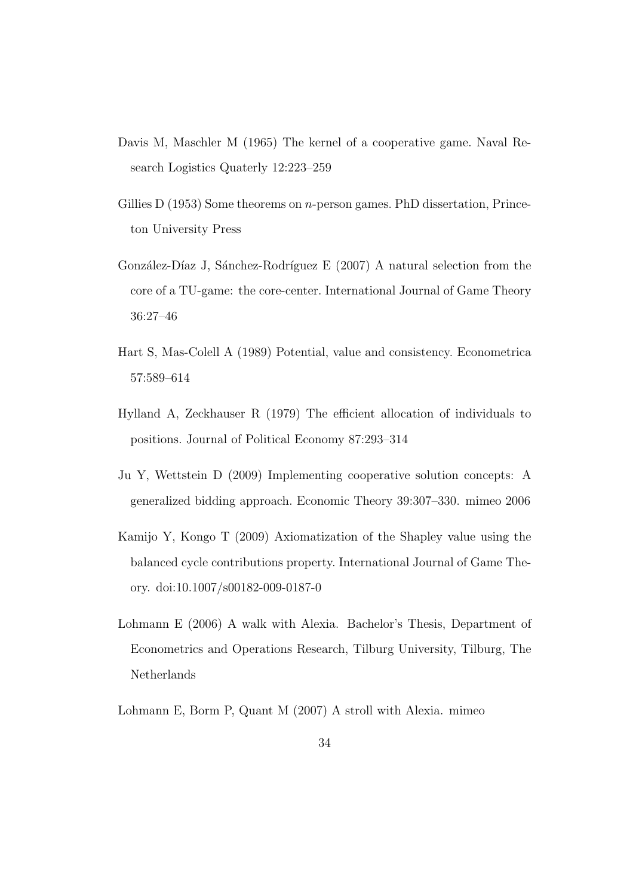- Davis M, Maschler M (1965) The kernel of a cooperative game. Naval Research Logistics Quaterly 12:223–259
- Gillies D (1953) Some theorems on *n*-person games. PhD dissertation, Princeton University Press
- González-Díaz J, Sánchez-Rodríguez E (2007) A natural selection from the core of a TU-game: the core-center. International Journal of Game Theory 36:27–46
- Hart S, Mas-Colell A (1989) Potential, value and consistency. Econometrica 57:589–614
- Hylland A, Zeckhauser R (1979) The efficient allocation of individuals to positions. Journal of Political Economy 87:293–314
- Ju Y, Wettstein D (2009) Implementing cooperative solution concepts: A generalized bidding approach. Economic Theory 39:307–330. mimeo 2006
- Kamijo Y, Kongo T (2009) Axiomatization of the Shapley value using the balanced cycle contributions property. International Journal of Game Theory. doi:10.1007/s00182-009-0187-0
- Lohmann E (2006) A walk with Alexia. Bachelor's Thesis, Department of Econometrics and Operations Research, Tilburg University, Tilburg, The Netherlands

Lohmann E, Borm P, Quant M (2007) A stroll with Alexia. mimeo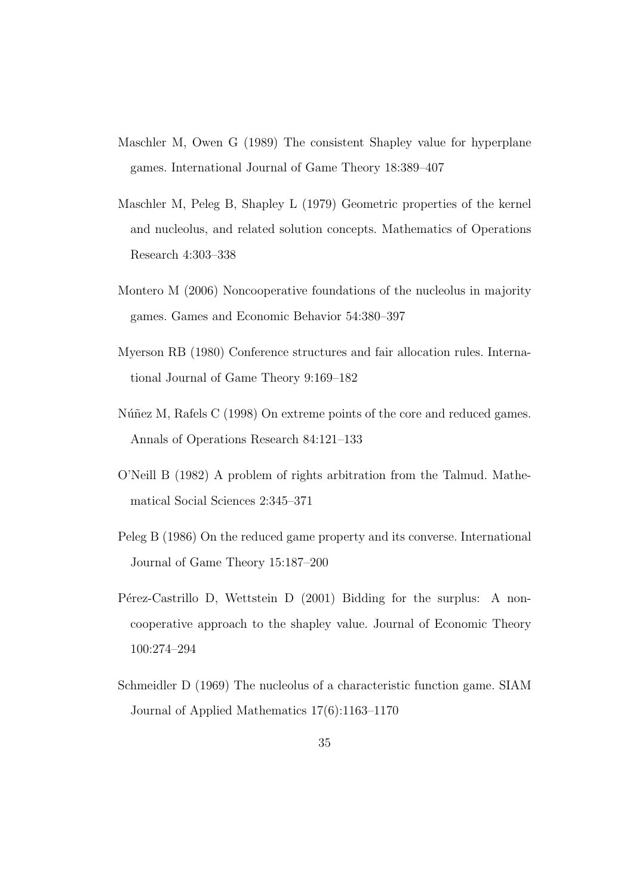- Maschler M, Owen G (1989) The consistent Shapley value for hyperplane games. International Journal of Game Theory 18:389–407
- Maschler M, Peleg B, Shapley L (1979) Geometric properties of the kernel and nucleolus, and related solution concepts. Mathematics of Operations Research 4:303–338
- Montero M (2006) Noncooperative foundations of the nucleolus in majority games. Games and Economic Behavior 54:380–397
- Myerson RB (1980) Conference structures and fair allocation rules. International Journal of Game Theory 9:169–182
- Núñez M, Rafels C (1998) On extreme points of the core and reduced games. Annals of Operations Research 84:121–133
- O'Neill B (1982) A problem of rights arbitration from the Talmud. Mathematical Social Sciences 2:345–371
- Peleg B (1986) On the reduced game property and its converse. International Journal of Game Theory 15:187–200
- Pérez-Castrillo D, Wettstein D (2001) Bidding for the surplus: A noncooperative approach to the shapley value. Journal of Economic Theory 100:274–294
- Schmeidler D (1969) The nucleolus of a characteristic function game. SIAM Journal of Applied Mathematics 17(6):1163–1170